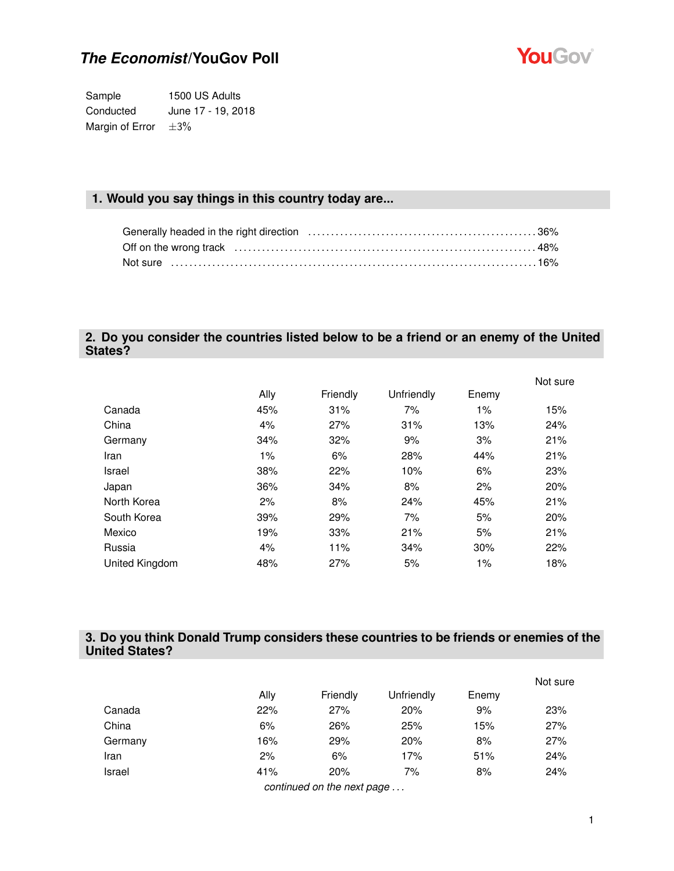

Sample 1500 US Adults Conducted June 17 - 19, 2018 Margin of Error  $\pm 3\%$ 

### **1. Would you say things in this country today are...**

### **2. Do you consider the countries listed below to be a friend or an enemy of the United States?**

|                |      |          |            |       | Not sure |  |
|----------------|------|----------|------------|-------|----------|--|
|                | Ally | Friendly | Unfriendly | Enemy |          |  |
| Canada         | 45%  | 31%      | 7%         | 1%    | 15%      |  |
| China          | 4%   | 27%      | 31%        | 13%   | 24%      |  |
| Germany        | 34%  | 32%      | 9%         | 3%    | 21%      |  |
| Iran           | 1%   | 6%       | 28%        | 44%   | 21%      |  |
| Israel         | 38%  | 22%      | 10%        | 6%    | 23%      |  |
| Japan          | 36%  | 34%      | 8%         | 2%    | 20%      |  |
| North Korea    | 2%   | 8%       | 24%        | 45%   | 21%      |  |
| South Korea    | 39%  | 29%      | 7%         | 5%    | 20%      |  |
| Mexico         | 19%  | 33%      | 21%        | 5%    | 21%      |  |
| Russia         | 4%   | 11%      | 34%        | 30%   | 22%      |  |
| United Kingdom | 48%  | 27%      | 5%         | 1%    | 18%      |  |

### **3. Do you think Donald Trump considers these countries to be friends or enemies of the United States?**

|         |      |                                          |            |       | Not sure |
|---------|------|------------------------------------------|------------|-------|----------|
|         | Ally | Friendly                                 | Unfriendly | Enemy |          |
| Canada  | 22%  | 27%                                      | 20%        | 9%    | 23%      |
| China   | 6%   | 26%                                      | 25%        | 15%   | 27%      |
| Germany | 16%  | 29%                                      | 20%        | 8%    | 27%      |
| Iran    | 2%   | 6%                                       | 17%        | 51%   | 24%      |
| Israel  | 41%  | 20%                                      | 7%         | 8%    | 24%      |
|         | . .  | $\overline{\phantom{a}}$<br>$\mathbf{r}$ |            |       |          |

*continued on the next page . . .*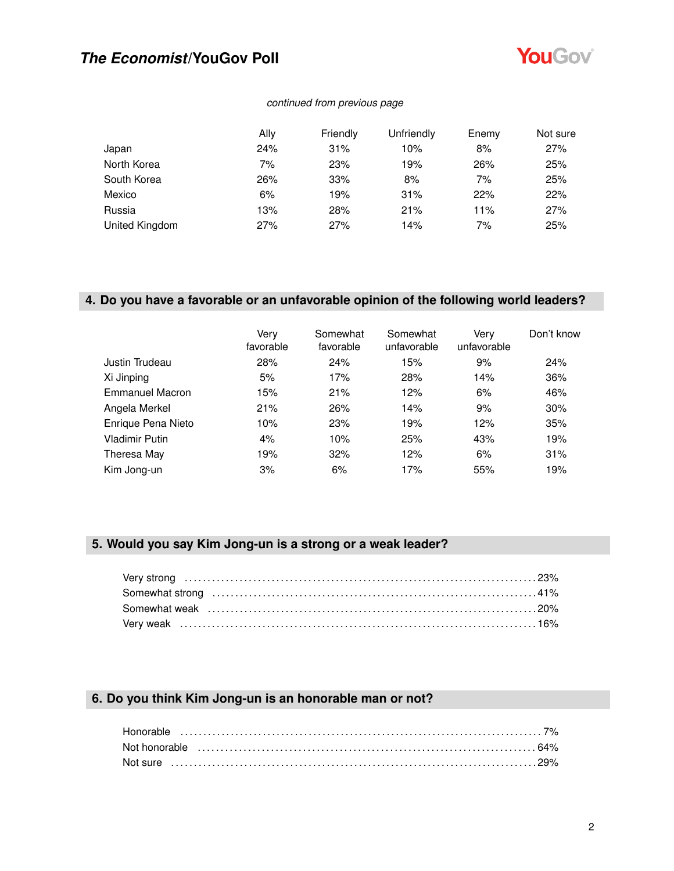

### *continued from previous page*

|                | Ally | Friendly | Unfriendly | Enemy | Not sure |
|----------------|------|----------|------------|-------|----------|
| Japan          | 24%  | 31%      | 10%        | 8%    | 27%      |
| North Korea    | 7%   | 23%      | 19%        | 26%   | 25%      |
| South Korea    | 26%  | 33%      | 8%         | 7%    | 25%      |
| Mexico         | 6%   | 19%      | 31%        | 22%   | 22%      |
| Russia         | 13%  | 28%      | 21%        | 11%   | 27%      |
| United Kingdom | 27%  | 27%      | 14%        | 7%    | 25%      |

### **4. Do you have a favorable or an unfavorable opinion of the following world leaders?**

|                        | Very<br>favorable | Somewhat<br>favorable | Somewhat<br>unfavorable | Very<br>unfavorable | Don't know |
|------------------------|-------------------|-----------------------|-------------------------|---------------------|------------|
| Justin Trudeau         | 28%               | 24%                   | 15%                     | 9%                  | 24%        |
| Xi Jinping             | 5%                | 17%                   | 28%                     | 14%                 | 36%        |
| <b>Emmanuel Macron</b> | 15%               | 21%                   | 12%                     | 6%                  | 46%        |
| Angela Merkel          | 21%               | 26%                   | 14%                     | 9%                  | 30%        |
| Enrique Pena Nieto     | 10%               | 23%                   | 19%                     | 12%                 | 35%        |
| <b>Vladimir Putin</b>  | 4%                | 10%                   | 25%                     | 43%                 | 19%        |
| Theresa May            | 19%               | 32%                   | 12%                     | 6%                  | 31%        |
| Kim Jong-un            | 3%                | 6%                    | 17%                     | 55%                 | 19%        |

### **5. Would you say Kim Jong-un is a strong or a weak leader?**

### **6. Do you think Kim Jong-un is an honorable man or not?**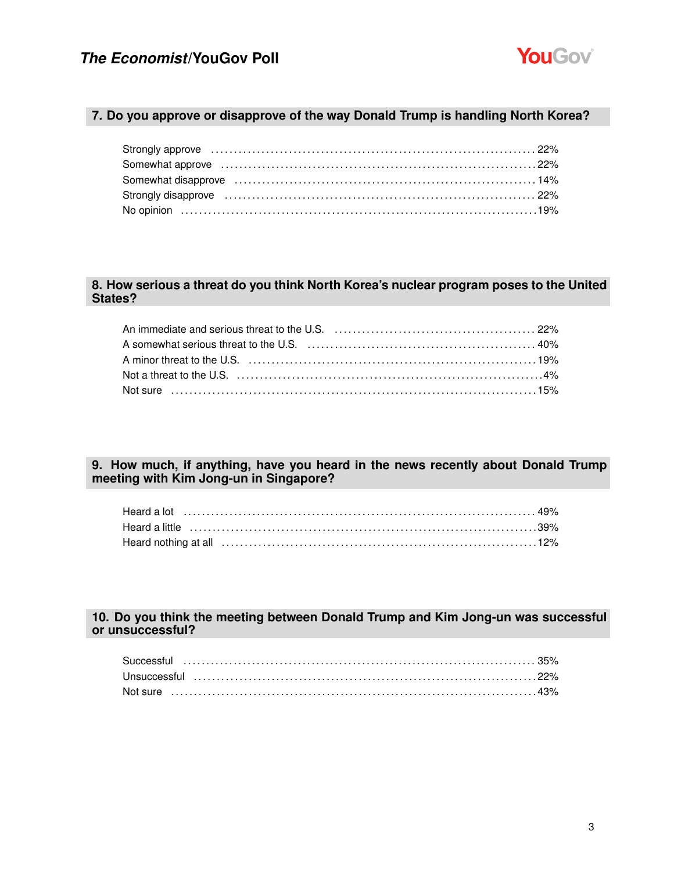

### **7. Do you approve or disapprove of the way Donald Trump is handling North Korea?**

### **8. How serious a threat do you think North Korea's nuclear program poses to the United States?**

| An immediate and serious threat to the U.S. (a) contain and contained and series are also asset as a series an                                                                                                                 |  |
|--------------------------------------------------------------------------------------------------------------------------------------------------------------------------------------------------------------------------------|--|
| A somewhat serious threat to the U.S. (a) match contain the content of the 40%                                                                                                                                                 |  |
| A minor threat to the U.S. (a) contain the control of the U.S. (19% of the control of the U.S. (19%)                                                                                                                           |  |
| Not a threat to the U.S. (a) and the content of the U.S. (a) and the content of the content of the U.S. (a) and the U.S. (a) and the U.S. (a) and the U.S. (a) and the U.S. (a) and the U.S. (a) and the U.S. (a) and the U.S. |  |
| Not sure ………………………………………………………………………………15%                                                                                                                                                                                     |  |

### **9. How much, if anything, have you heard in the news recently about Donald Trump meeting with Kim Jong-un in Singapore?**

### **10. Do you think the meeting between Donald Trump and Kim Jong-un was successful or unsuccessful?**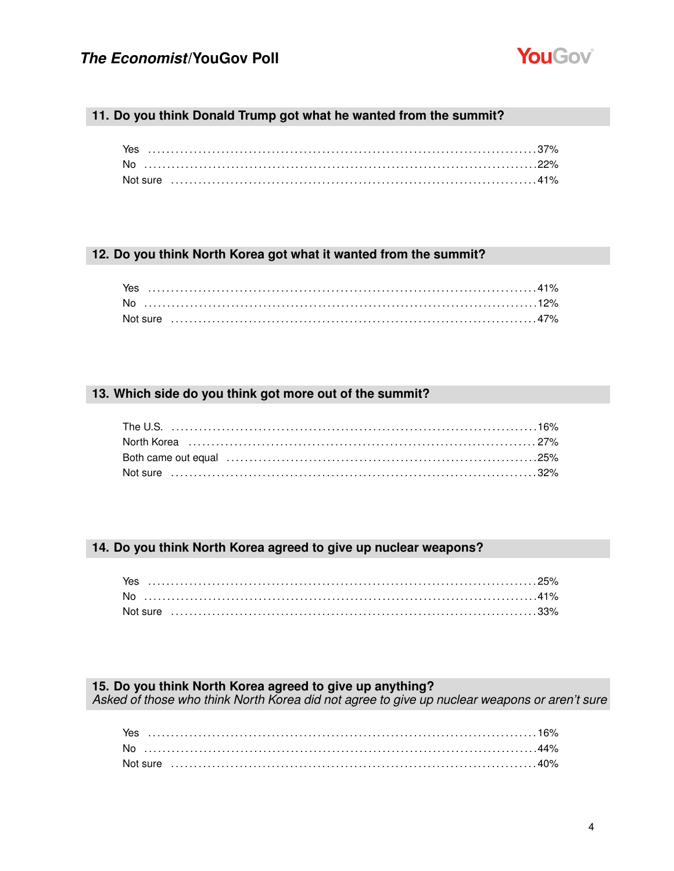

### 11. Do you think Donald Trump got what he wanted from the summit?

| Not sure ……………………………………………………………………………………41% |  |
|----------------------------------------------|--|

### 12. Do you think North Korea got what it wanted from the summit?

|  |  |  |  |  |  |  |  |  |  |  |  |  |  | Not sure ……………………………………………………………………………………47% |
|--|--|--|--|--|--|--|--|--|--|--|--|--|--|----------------------------------------------|

### 13. Which side do you think got more out of the summit?

### 14. Do you think North Korea agreed to give up nuclear weapons?

| Yes |  |  |  |  |
|-----|--|--|--|--|
| No  |  |  |  |  |
|     |  |  |  |  |

#### 15. Do you think North Korea agreed to give up anything?

Asked of those who think North Korea did not agree to give up nuclear weapons or aren't sure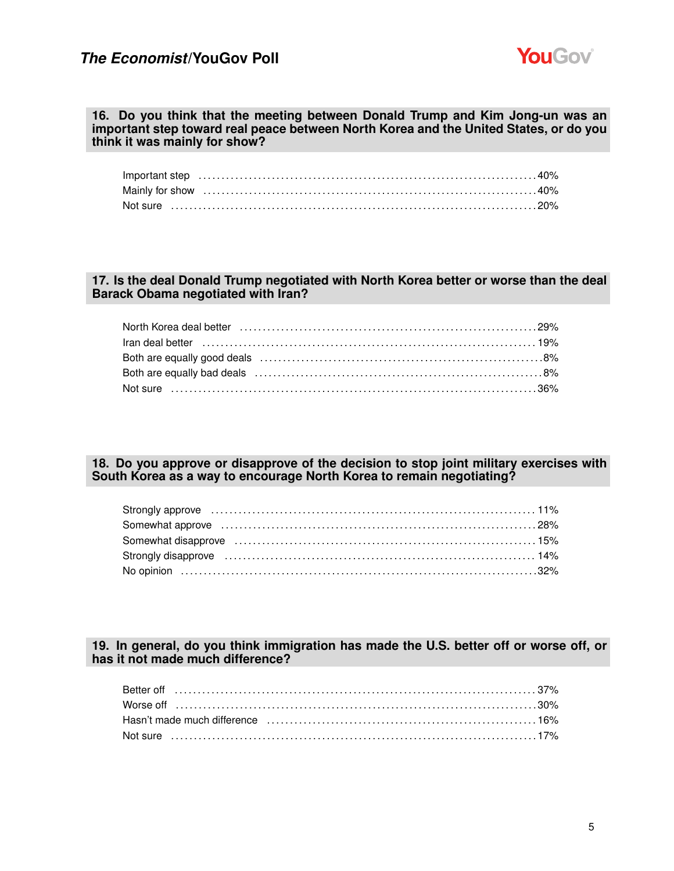

#### **16. Do you think that the meeting between Donald Trump and Kim Jong-un was an important step toward real peace between North Korea and the United States, or do you think it was mainly for show?**

### **17. Is the deal Donald Trump negotiated with North Korea better or worse than the deal Barack Obama negotiated with Iran?**

| North Korea deal better (all accordination of the control of the control of the control of the control of the |  |
|---------------------------------------------------------------------------------------------------------------|--|
|                                                                                                               |  |
|                                                                                                               |  |
|                                                                                                               |  |
|                                                                                                               |  |

### **18. Do you approve or disapprove of the decision to stop joint military exercises with South Korea as a way to encourage North Korea to remain negotiating?**

| Somewhat approve increases in the contract of the state of the state of the state of the state of the state of |  |
|----------------------------------------------------------------------------------------------------------------|--|
|                                                                                                                |  |
|                                                                                                                |  |
|                                                                                                                |  |

### **19. In general, do you think immigration has made the U.S. better off or worse off, or has it not made much difference?**

| Hasn't made much difference (a) contain and the container and the Hasn't made much difference (a) and the Hasn't metal and the Hasn't model. |  |
|----------------------------------------------------------------------------------------------------------------------------------------------|--|
|                                                                                                                                              |  |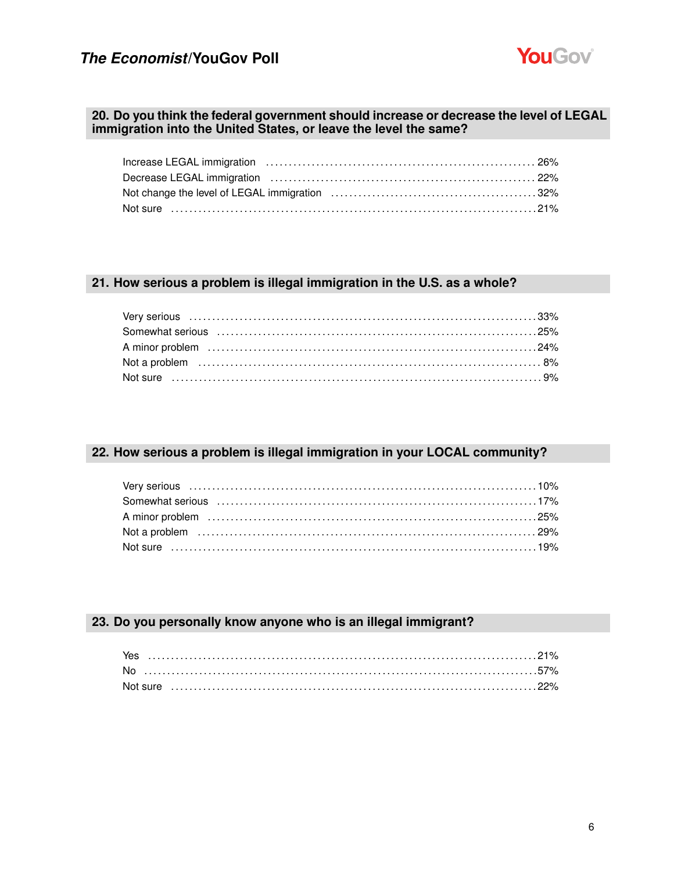

#### **20. Do you think the federal government should increase or decrease the level of LEGAL immigration into the United States, or leave the level the same?**

### **21. How serious a problem is illegal immigration in the U.S. as a whole?**

### **22. How serious a problem is illegal immigration in your LOCAL community?**

### **23. Do you personally know anyone who is an illegal immigrant?**

| Yes |  |  |  |  |  |  |  |  |  |  |  |  |  |  |  |  |  |  |  |
|-----|--|--|--|--|--|--|--|--|--|--|--|--|--|--|--|--|--|--|--|
| No. |  |  |  |  |  |  |  |  |  |  |  |  |  |  |  |  |  |  |  |
|     |  |  |  |  |  |  |  |  |  |  |  |  |  |  |  |  |  |  |  |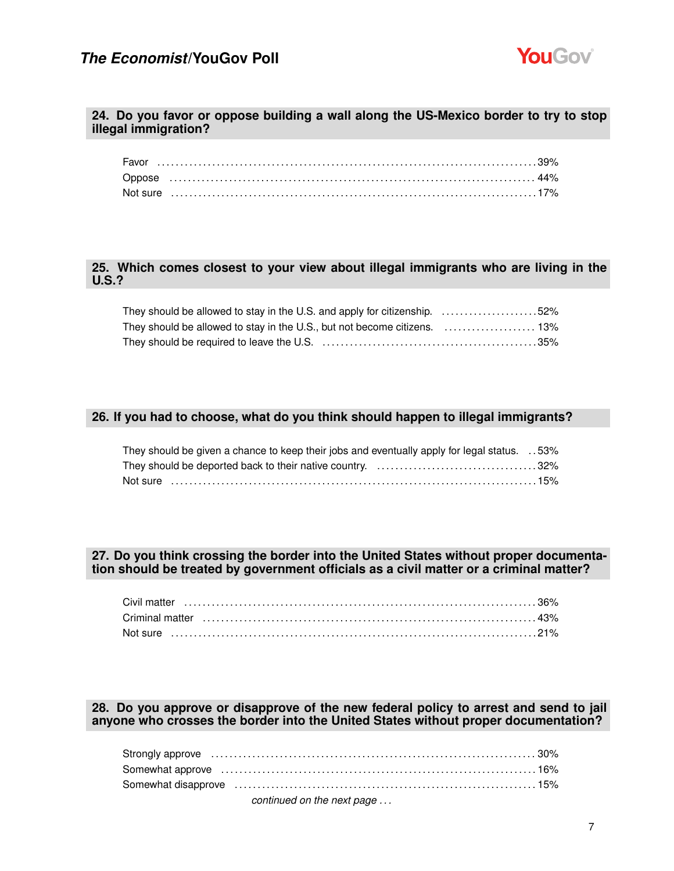

#### **24. Do you favor or oppose building a wall along the US-Mexico border to try to stop illegal immigration?**

| Not sure …………………………………………………………………………………17% |  |  |  |  |  |  |  |  |  |  |  |  |  |  |  |  |  |  |  |  |  |  |  |
|---------------------------------------------|--|--|--|--|--|--|--|--|--|--|--|--|--|--|--|--|--|--|--|--|--|--|--|

### **25. Which comes closest to your view about illegal immigrants who are living in the U.S.?**

| They should be allowed to stay in the U.S. and apply for citizenship. $\ldots$ 52%                             |  |
|----------------------------------------------------------------------------------------------------------------|--|
| They should be allowed to stay in the U.S., but not become citizens.  13%                                      |  |
| They should be required to leave the U.S. (a) match contain the state state state state state state state stat |  |

### **26. If you had to choose, what do you think should happen to illegal immigrants?**

| 53%. They should be given a chance to keep their jobs and eventually apply for legal status. 53% |  |
|--------------------------------------------------------------------------------------------------|--|
|                                                                                                  |  |
| Not sure ……………………………………………………………………………………15%                                                     |  |

#### **27. Do you think crossing the border into the United States without proper documentation should be treated by government officials as a civil matter or a criminal matter?**

### **28. Do you approve or disapprove of the new federal policy to arrest and send to jail anyone who crosses the border into the United States without proper documentation?**

| Strongly approve material contact the control of the strongly approve the control of the strongly approve that $30\%$ |  |
|-----------------------------------------------------------------------------------------------------------------------|--|
|                                                                                                                       |  |
|                                                                                                                       |  |
| continued on the next page                                                                                            |  |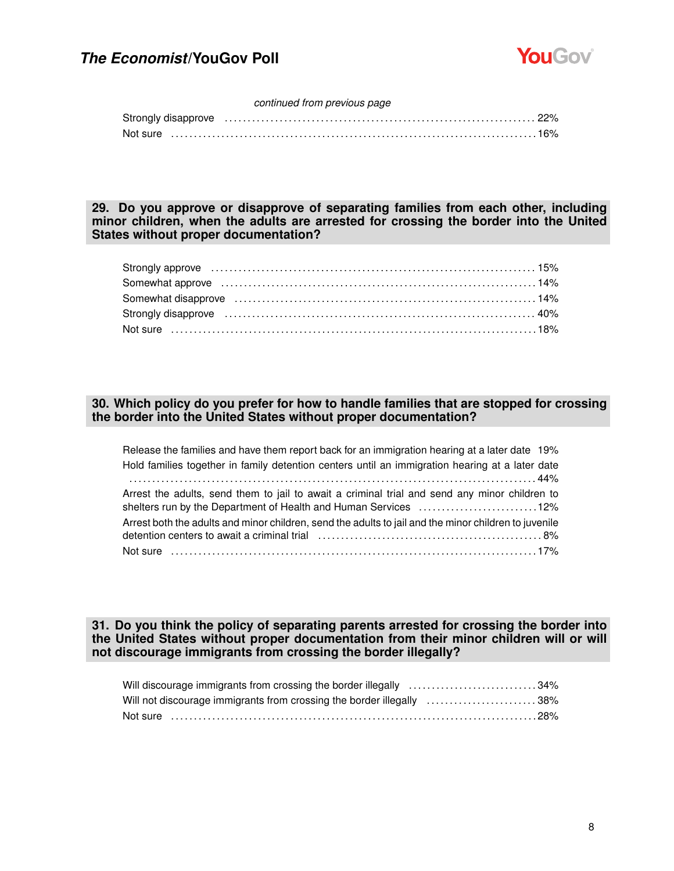

#### *continued from previous page*

| Strongly disapprove manufactured control of the control of the control of the control of the control of the control of the control of the control of the control of the control of the control of the control of the control o |  |
|--------------------------------------------------------------------------------------------------------------------------------------------------------------------------------------------------------------------------------|--|
|                                                                                                                                                                                                                                |  |

**29. Do you approve or disapprove of separating families from each other, including minor children, when the adults are arrested for crossing the border into the United States without proper documentation?**

| Somewhat approve encontractive contact the control of the set of the set of the set of the set of the set of the set of the set of the set of the set of the set of the set of the set of the set of the set of the set of the |  |
|--------------------------------------------------------------------------------------------------------------------------------------------------------------------------------------------------------------------------------|--|
| Somewhat disapprove (and the contract of the contract of the state of the state of the state of the state of the state of the state of the state of the state of the state of the state of the state of the state of the state |  |
|                                                                                                                                                                                                                                |  |
|                                                                                                                                                                                                                                |  |

### **30. Which policy do you prefer for how to handle families that are stopped for crossing the border into the United States without proper documentation?**

| Release the families and have them report back for an immigration hearing at a later date 19%                                                                    |
|------------------------------------------------------------------------------------------------------------------------------------------------------------------|
| Hold families together in family detention centers until an immigration hearing at a later date                                                                  |
| Arrest the adults, send them to jail to await a criminal trial and send any minor children to<br>shelters run by the Department of Health and Human Services 12% |
| Arrest both the adults and minor children, send the adults to jail and the minor children to juvenile                                                            |
|                                                                                                                                                                  |

### **31. Do you think the policy of separating parents arrested for crossing the border into the United States without proper documentation from their minor children will or will not discourage immigrants from crossing the border illegally?**

| Will discourage immigrants from crossing the border illegally 34%     |  |
|-----------------------------------------------------------------------|--|
| Will not discourage immigrants from crossing the border illegally 38% |  |
|                                                                       |  |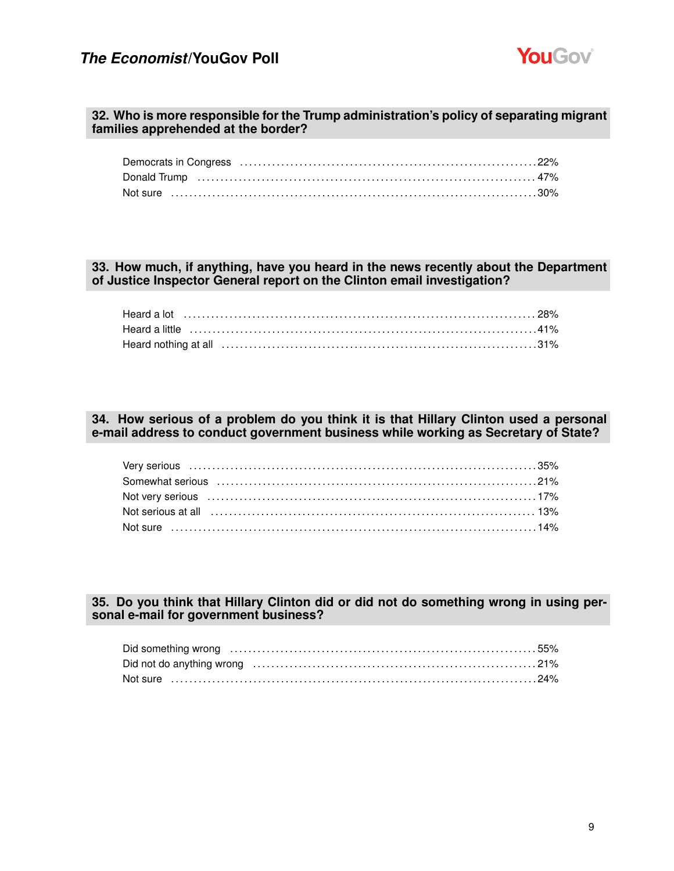

#### **32. Who is more responsible for the Trump administration's policy of separating migrant families apprehended at the border?**

### **33. How much, if anything, have you heard in the news recently about the Department of Justice Inspector General report on the Clinton email investigation?**

### **34. How serious of a problem do you think it is that Hillary Clinton used a personal e-mail address to conduct government business while working as Secretary of State?**

| Not serious at all influent contained and the control of the serious serious at all intervent contained and the |  |
|-----------------------------------------------------------------------------------------------------------------|--|
|                                                                                                                 |  |

### **35. Do you think that Hillary Clinton did or did not do something wrong in using personal e-mail for government business?**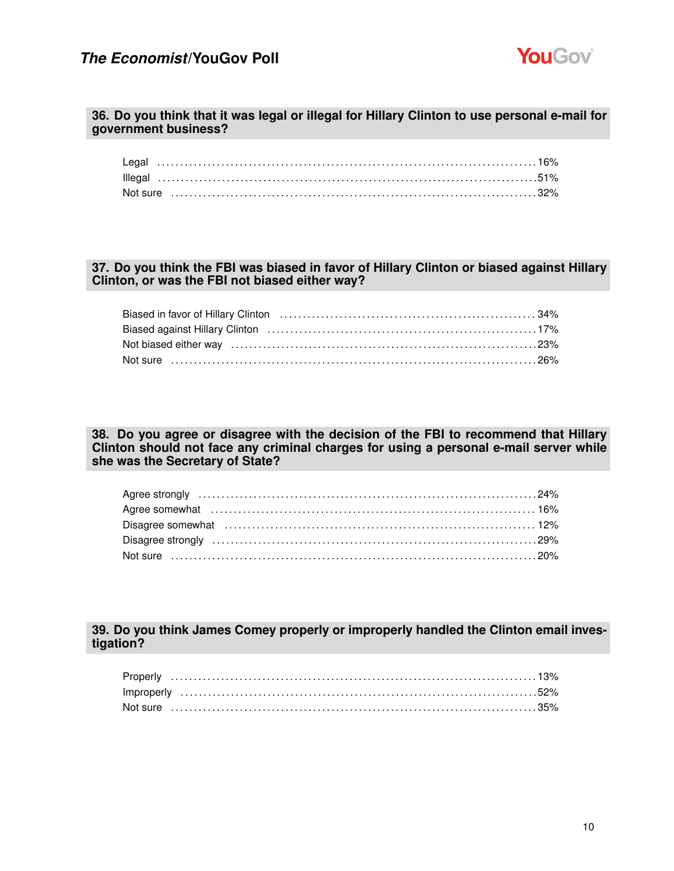

#### **36. Do you think that it was legal or illegal for Hillary Clinton to use personal e-mail for government business?**

### **37. Do you think the FBI was biased in favor of Hillary Clinton or biased against Hillary Clinton, or was the FBI not biased either way?**

| Biased against Hillary Clinton (and the content of the content of the content of the content of the content of the content of the content of the content of the content of the content of the content of the content of the co |  |
|--------------------------------------------------------------------------------------------------------------------------------------------------------------------------------------------------------------------------------|--|
|                                                                                                                                                                                                                                |  |
|                                                                                                                                                                                                                                |  |

**38. Do you agree or disagree with the decision of the FBI to recommend that Hillary Clinton should not face any criminal charges for using a personal e-mail server while she was the Secretary of State?**

### **39. Do you think James Comey properly or improperly handled the Clinton email investigation?**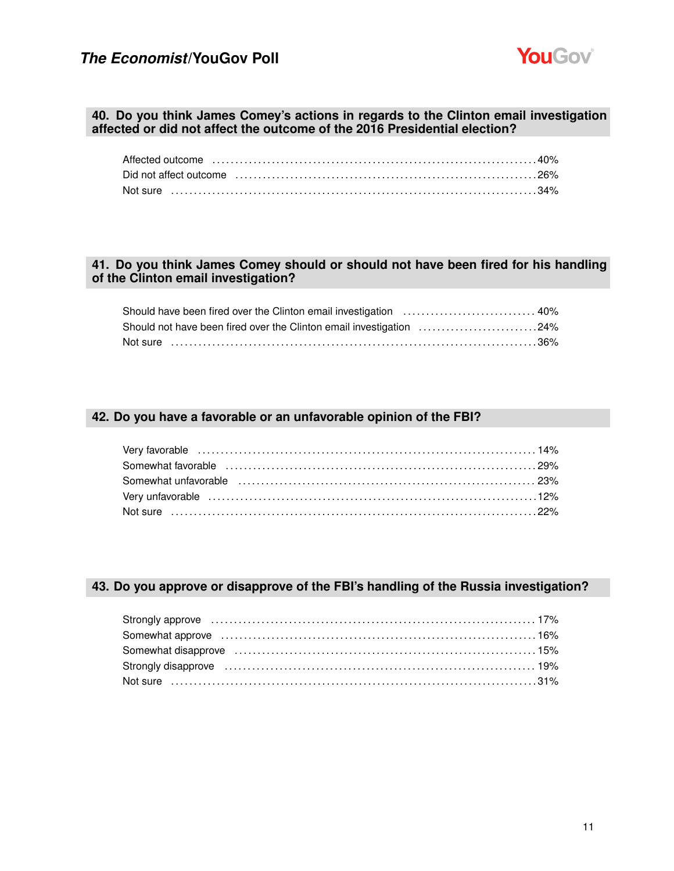

### **40. Do you think James Comey's actions in regards to the Clinton email investigation affected or did not affect the outcome of the 2016 Presidential election?**

| Affected outcome influence in the control of the control of the control of the control of the control of the c |  |
|----------------------------------------------------------------------------------------------------------------|--|
|                                                                                                                |  |
| Not sure ………………………………………………………………………………………34%                                                                  |  |

### **41. Do you think James Comey should or should not have been fired for his handling of the Clinton email investigation?**

| Should not have been fired over the Clinton email investigation 24% |  |
|---------------------------------------------------------------------|--|
| Not sure ……………………………………………………………………………………36%                        |  |

### **42. Do you have a favorable or an unfavorable opinion of the FBI?**

#### **43. Do you approve or disapprove of the FBI's handling of the Russia investigation?**

| Strongly approve material contracts and the contracts of the strongly approve material and the strong strong strong strong strong strong strong strong strong strong strong strong strong strong strong strong strong strong s |  |
|--------------------------------------------------------------------------------------------------------------------------------------------------------------------------------------------------------------------------------|--|
|                                                                                                                                                                                                                                |  |
| Somewhat disapprove (and the continuum continuum control of the state of the state of the state of the state of the state of the state of the state of the state of the state of the state of the state of the state of the st |  |
| Strongly disapprove (and according to the control of the strongly disapprove (and the control of the strong to the strong strong to the strong strong strong strong strong strong strong strong strong strong strong strong st |  |
|                                                                                                                                                                                                                                |  |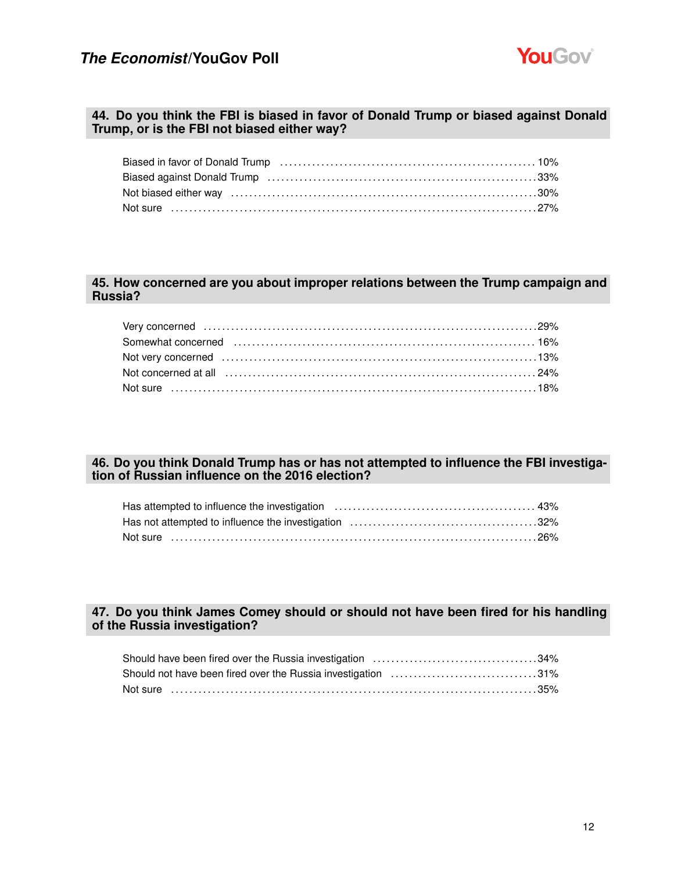

#### **44. Do you think the FBI is biased in favor of Donald Trump or biased against Donald Trump, or is the FBI not biased either way?**

| Biased in favor of Donald Trump (and the content of the content of the 10%) and the set of the set of the set of the set of the set of the set of the set of the set of the set of the set of the set of the set of the set of |  |
|--------------------------------------------------------------------------------------------------------------------------------------------------------------------------------------------------------------------------------|--|
| Biased against Donald Trump (and the contract of the contract of the contract of the contract of the contract o                                                                                                                |  |
| Not biased either way matches and contact the way of the set of the set of the set of the set of the set of the                                                                                                                |  |
|                                                                                                                                                                                                                                |  |

### **45. How concerned are you about improper relations between the Trump campaign and Russia?**

| Somewhat concerned (and the continuum control of the state of the state of the state of the state of the state of the state of the state of the state of the state of the state of the state of the state of the state of the |  |
|-------------------------------------------------------------------------------------------------------------------------------------------------------------------------------------------------------------------------------|--|
| Not very concerned increased the control of the state of the state of the state of the state of the state of t                                                                                                                |  |
|                                                                                                                                                                                                                               |  |
| Not sure ……………………………………………………………………………………18%                                                                                                                                                                                  |  |
|                                                                                                                                                                                                                               |  |

### **46. Do you think Donald Trump has or has not attempted to influence the FBI investigation of Russian influence on the 2016 election?**

### **47. Do you think James Comey should or should not have been fired for his handling of the Russia investigation?**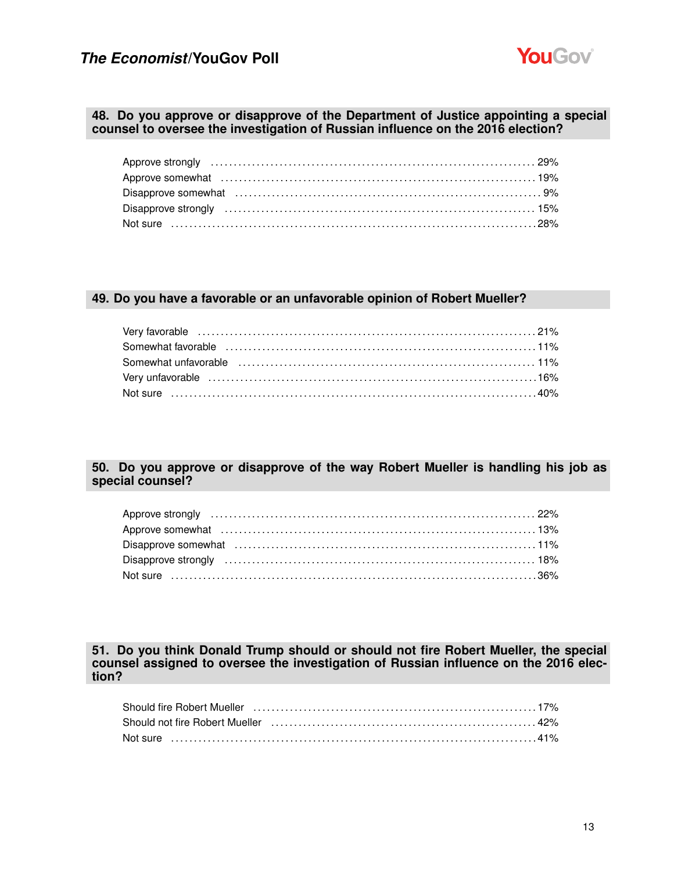

#### **48. Do you approve or disapprove of the Department of Justice appointing a special counsel to oversee the investigation of Russian influence on the 2016 election?**

### **49. Do you have a favorable or an unfavorable opinion of Robert Mueller?**

### **50. Do you approve or disapprove of the way Robert Mueller is handling his job as special counsel?**

**51. Do you think Donald Trump should or should not fire Robert Mueller, the special counsel assigned to oversee the investigation of Russian influence on the 2016 election?**

| Should fire Robert Mueller (and accommunicational control of the discussion of the Should fire Robert Mueller |  |
|---------------------------------------------------------------------------------------------------------------|--|
| Should not fire Robert Mueller (and the content of the content of the 42%)                                    |  |
| Not sure …………………………………………………………………………………41%                                                                   |  |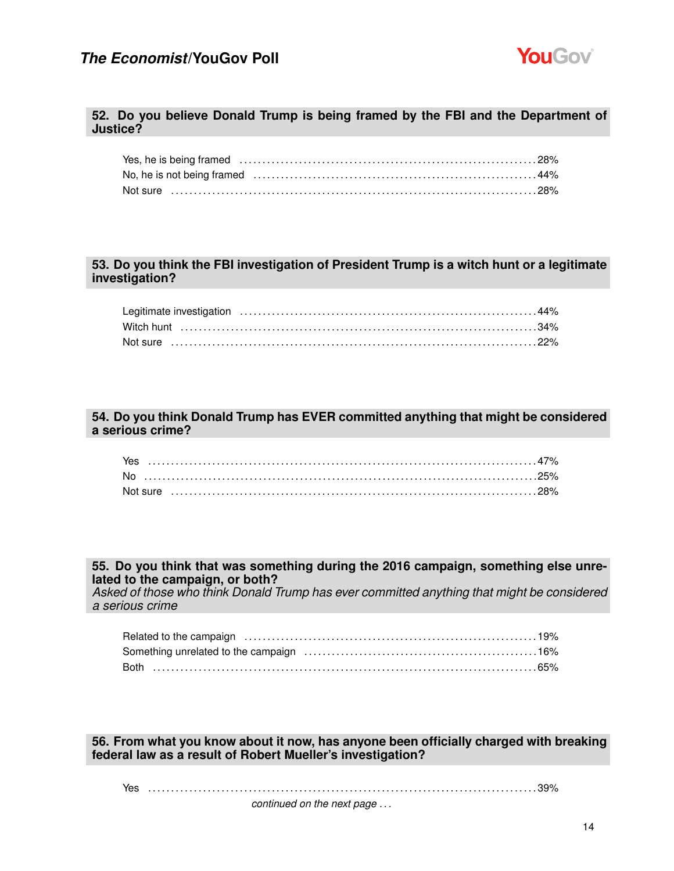

#### **52. Do you believe Donald Trump is being framed by the FBI and the Department of Justice?**

#### **53. Do you think the FBI investigation of President Trump is a witch hunt or a legitimate investigation?**

### **54. Do you think Donald Trump has EVER committed anything that might be considered a serious crime?**

| Not sure ………………………………………………………………………………………28% |  |  |  |  |  |  |  |  |  |  |  |  |  |  |  |  |  |  |
|-----------------------------------------------|--|--|--|--|--|--|--|--|--|--|--|--|--|--|--|--|--|--|

#### **55. Do you think that was something during the 2016 campaign, something else unrelated to the campaign, or both?**

*Asked of those who think Donald Trump has ever committed anything that might be considered a serious crime*

#### **56. From what you know about it now, has anyone been officially charged with breaking federal law as a result of Robert Mueller's investigation?**

#### Yes . . . . . . . . . . . . . . . . . . . . . . . . . . . . . . . . . . . . . . . . . . . . . . . . . . . . . . . . . . . . . . . . . . . . . . . . . . . . . . . . . . . . . 39%

*continued on the next page . . .*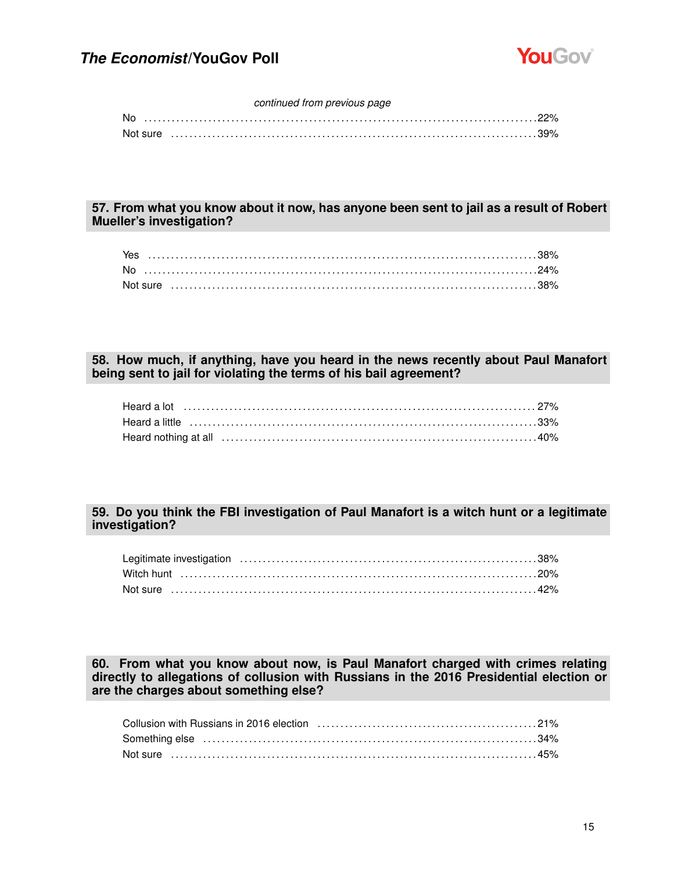

#### *continued from previous page*

| No       |  |  |  |  |  |  |
|----------|--|--|--|--|--|--|
| Not sure |  |  |  |  |  |  |

### **57. From what you know about it now, has anyone been sent to jail as a result of Robert Mueller's investigation?**

| Yes |  |  |  |  |  |  |  |  |  |  |  |  |  |  |  |  |  |  |  |
|-----|--|--|--|--|--|--|--|--|--|--|--|--|--|--|--|--|--|--|--|
|     |  |  |  |  |  |  |  |  |  |  |  |  |  |  |  |  |  |  |  |
|     |  |  |  |  |  |  |  |  |  |  |  |  |  |  |  |  |  |  |  |

### **58. How much, if anything, have you heard in the news recently about Paul Manafort being sent to jail for violating the terms of his bail agreement?**

### **59. Do you think the FBI investigation of Paul Manafort is a witch hunt or a legitimate investigation?**

### **60. From what you know about now, is Paul Manafort charged with crimes relating directly to allegations of collusion with Russians in the 2016 Presidential election or are the charges about something else?**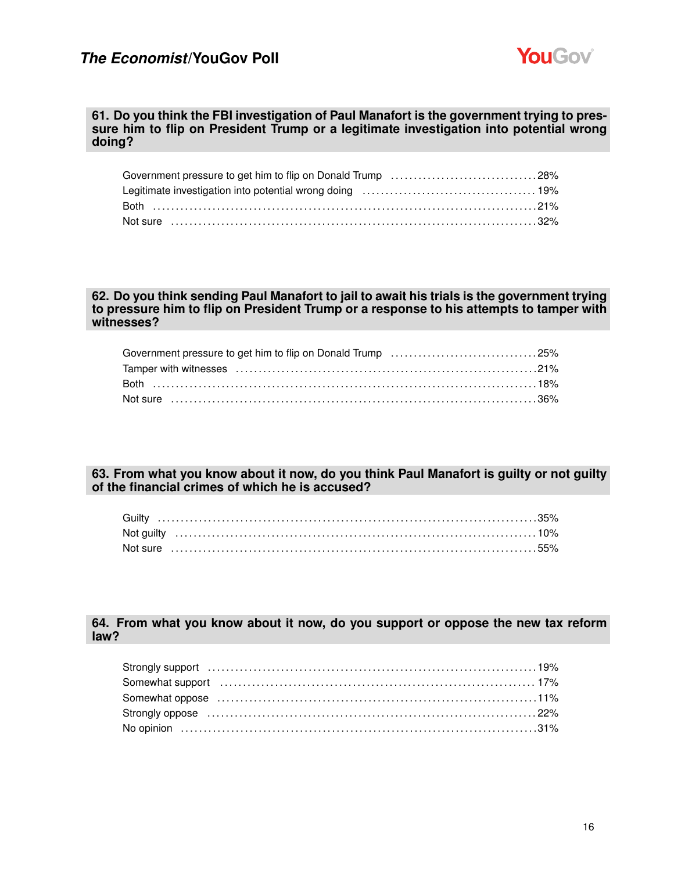

#### **61. Do you think the FBI investigation of Paul Manafort is the government trying to pressure him to flip on President Trump or a legitimate investigation into potential wrong doing?**

| Government pressure to get him to flip on Donald Trump 28% |  |
|------------------------------------------------------------|--|
|                                                            |  |
|                                                            |  |
|                                                            |  |

### **62. Do you think sending Paul Manafort to jail to await his trials is the government trying to pressure him to flip on President Trump or a response to his attempts to tamper with witnesses?**

### **63. From what you know about it now, do you think Paul Manafort is guilty or not guilty of the financial crimes of which he is accused?**

### **64. From what you know about it now, do you support or oppose the new tax reform law?**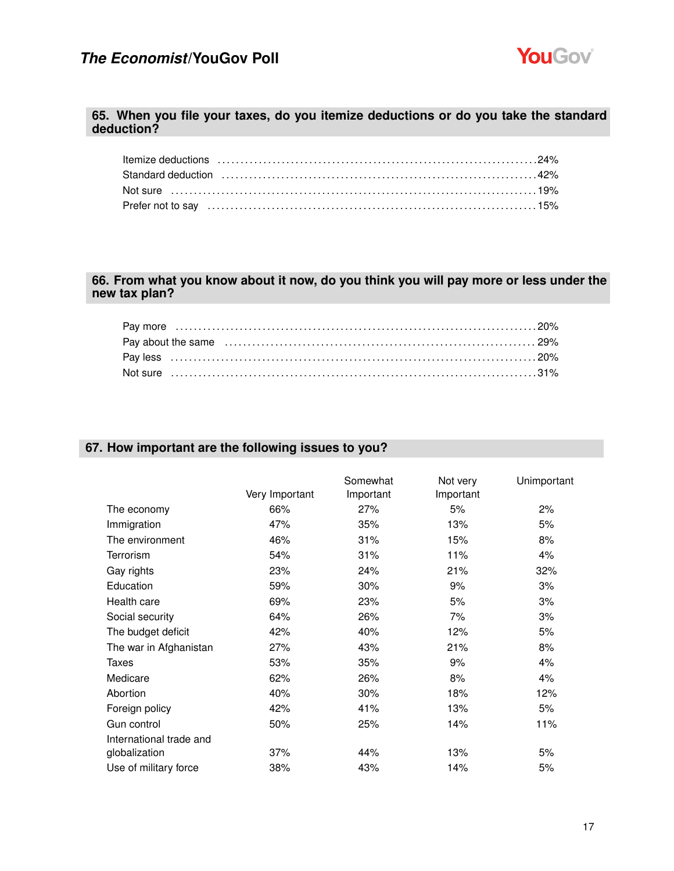

### **65. When you file your taxes, do you itemize deductions or do you take the standard deduction?**

| Standard deduction (and according to the discover of the discover of the standard deduction (and the state of t |  |
|-----------------------------------------------------------------------------------------------------------------|--|
| Not sure ……………………………………………………………………………………19%                                                                    |  |
|                                                                                                                 |  |

### **66. From what you know about it now, do you think you will pay more or less under the new tax plan?**

### **67. How important are the following issues to you?**

|                         |                | Somewhat  | Not very  | Unimportant |
|-------------------------|----------------|-----------|-----------|-------------|
|                         | Very Important | Important | Important |             |
| The economy             | 66%            | 27%       | 5%        | 2%          |
| Immigration             | 47%            | 35%       | 13%       | 5%          |
| The environment         | 46%            | 31%       | 15%       | 8%          |
| Terrorism               | 54%            | 31%       | 11%       | 4%          |
| Gay rights              | 23%            | 24%       | 21%       | 32%         |
| Education               | 59%            | 30%       | 9%        | 3%          |
| Health care             | 69%            | 23%       | 5%        | 3%          |
| Social security         | 64%            | 26%       | 7%        | 3%          |
| The budget deficit      | 42%            | 40%       | 12%       | 5%          |
| The war in Afghanistan  | 27%            | 43%       | 21%       | 8%          |
| Taxes                   | 53%            | 35%       | 9%        | 4%          |
| Medicare                | 62%            | 26%       | 8%        | 4%          |
| Abortion                | 40%            | 30%       | 18%       | 12%         |
| Foreign policy          | 42%            | 41%       | 13%       | 5%          |
| Gun control             | 50%            | 25%       | 14%       | 11%         |
| International trade and |                |           |           |             |
| globalization           | 37%            | 44%       | 13%       | 5%          |
| Use of military force   | 38%            | 43%       | 14%       | 5%          |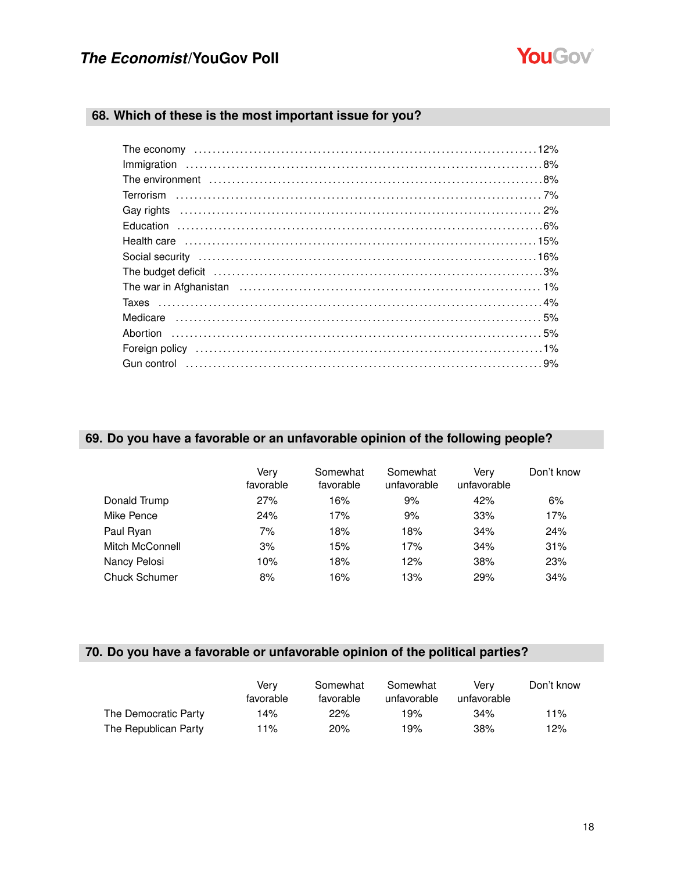

### **68. Which of these is the most important issue for you?**

| Gay rights (a) and the contract of the contract of the contract of the contract of the contract of the contract of the contract of the contract of the contract of the contract of the contract of the contract of the contrac |
|--------------------------------------------------------------------------------------------------------------------------------------------------------------------------------------------------------------------------------|
|                                                                                                                                                                                                                                |
|                                                                                                                                                                                                                                |
|                                                                                                                                                                                                                                |
| The budget deficit (and according to the budget deficit (and according to the budget deficit (and according to the budget deficit (and $3\%$                                                                                   |
|                                                                                                                                                                                                                                |
|                                                                                                                                                                                                                                |
|                                                                                                                                                                                                                                |
|                                                                                                                                                                                                                                |
| Foreign policy (and according to the control of the control of the control of the control of the control of the control of the control of the control of the control of the control of the control of the control of the contr |
|                                                                                                                                                                                                                                |
|                                                                                                                                                                                                                                |

### **69. Do you have a favorable or an unfavorable opinion of the following people?**

|                      | Verv<br>favorable | Somewhat<br>favorable | Somewhat<br>unfavorable | Verv<br>unfavorable | Don't know |
|----------------------|-------------------|-----------------------|-------------------------|---------------------|------------|
| Donald Trump         | 27%               | 16%                   | 9%                      | 42%                 | 6%         |
| Mike Pence           | 24%               | 17%                   | 9%                      | 33%                 | 17%        |
| Paul Ryan            | 7%                | 18%                   | 18%                     | 34%                 | 24%        |
| Mitch McConnell      | 3%                | 15%                   | 17%                     | 34%                 | 31%        |
| Nancy Pelosi         | 10%               | 18%                   | 12%                     | 38%                 | 23%        |
| <b>Chuck Schumer</b> | 8%                | 16%                   | 13%                     | 29%                 | 34%        |

### **70. Do you have a favorable or unfavorable opinion of the political parties?**

|                      | Verv<br>favorable | Somewhat<br>favorable | Somewhat<br>unfavorable | Verv<br>unfavorable | Don't know |
|----------------------|-------------------|-----------------------|-------------------------|---------------------|------------|
| The Democratic Party | 14%               | 22%                   | 19%                     | 34%                 | 11%        |
| The Republican Party | 11%               | 20%                   | 19%                     | 38%                 | 12%        |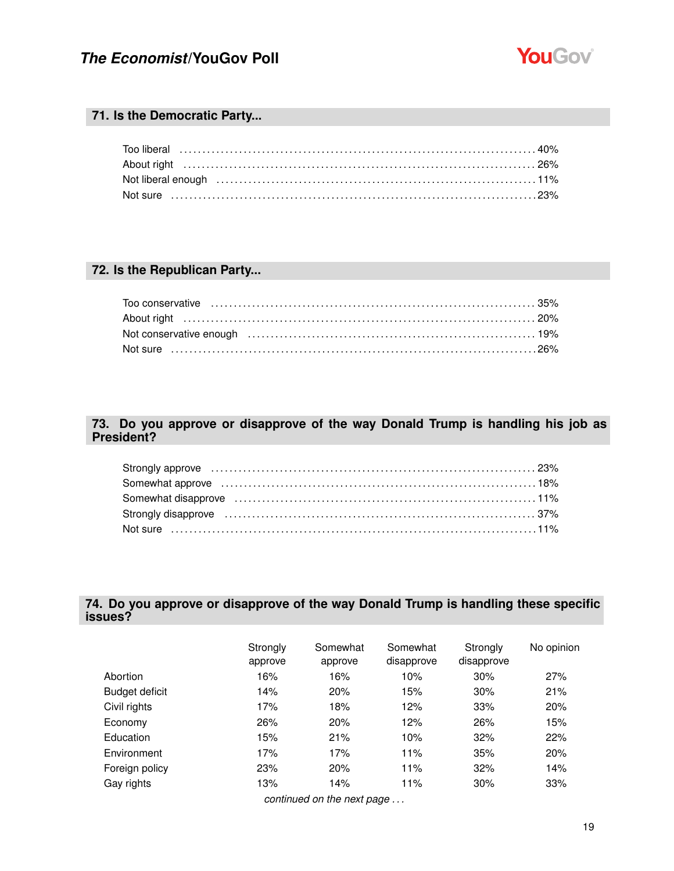

### **71. Is the Democratic Party...**

| Not liberal enough entitled to contact the control of the control of the control of the control of the control of the control of the control of the control of the control of the control of the control of the control of the |  |
|--------------------------------------------------------------------------------------------------------------------------------------------------------------------------------------------------------------------------------|--|
|                                                                                                                                                                                                                                |  |

### **72. Is the Republican Party...**

### **73. Do you approve or disapprove of the way Donald Trump is handling his job as President?**

| Strongly disapprove (all accordinations) and the strongly disapprove (contained a strongly disapprove (contain |  |
|----------------------------------------------------------------------------------------------------------------|--|
|                                                                                                                |  |

### **74. Do you approve or disapprove of the way Donald Trump is handling these specific issues?**

|                | Strongly<br>approve | Somewhat<br>approve        | Somewhat<br>disapprove | Strongly<br>disapprove | No opinion |
|----------------|---------------------|----------------------------|------------------------|------------------------|------------|
| Abortion       | 16%                 | 16%                        | 10%                    | 30%                    | 27%        |
| Budget deficit | 14%                 | 20%                        | 15%                    | 30%                    | 21%        |
| Civil rights   | 17%                 | 18%                        | 12%                    | 33%                    | 20%        |
| Economy        | 26%                 | 20%                        | 12%                    | 26%                    | 15%        |
| Education      | 15%                 | 21%                        | 10%                    | 32%                    | 22%        |
| Environment    | 17%                 | 17%                        | 11%                    | 35%                    | 20%        |
| Foreign policy | 23%                 | 20%                        | 11%                    | 32%                    | 14%        |
| Gay rights     | 13%                 | 14%                        | 11%                    | 30%                    | 33%        |
|                |                     | continued on the next page |                        |                        |            |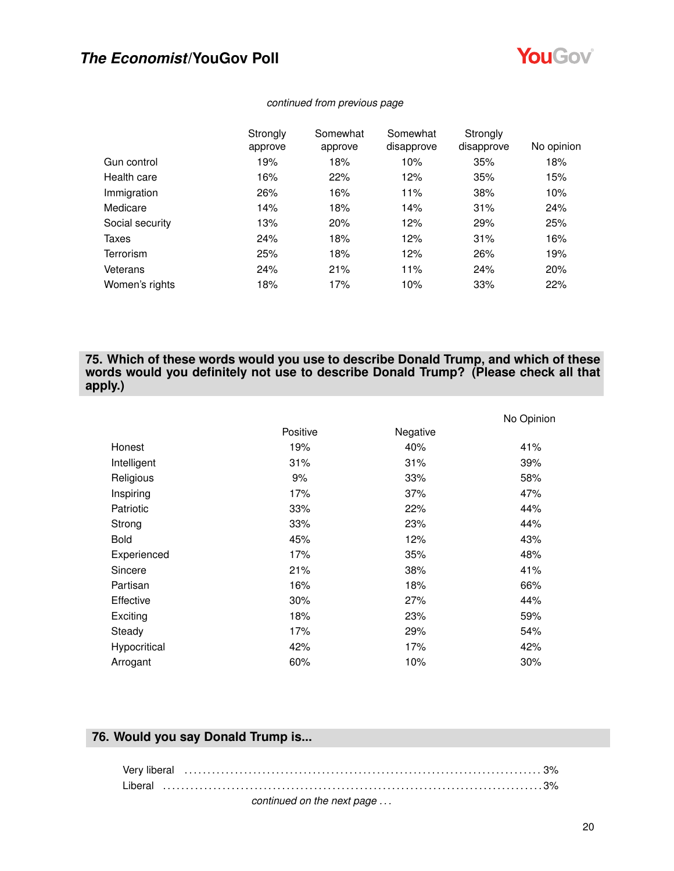

|                  | Strongly | Somewhat | Somewhat   | Strongly   |            |
|------------------|----------|----------|------------|------------|------------|
|                  | approve  | approve  | disapprove | disapprove | No opinion |
| Gun control      | 19%      | 18%      | 10%        | 35%        | 18%        |
| Health care      | 16%      | 22%      | 12%        | 35%        | 15%        |
| Immigration      | 26%      | 16%      | 11%        | 38%        | 10%        |
| Medicare         | 14%      | 18%      | 14%        | 31%        | 24%        |
| Social security  | 13%      | 20%      | 12%        | 29%        | 25%        |
| Taxes            | 24%      | 18%      | 12%        | 31%        | 16%        |
| <b>Terrorism</b> | 25%      | 18%      | 12%        | 26%        | 19%        |
| Veterans         | 24%      | 21%      | 11%        | 24%        | 20%        |
| Women's rights   | 18%      | 17%      | 10%        | 33%        | 22%        |

#### *continued from previous page*

### **75. Which of these words would you use to describe Donald Trump, and which of these words would you definitely not use to describe Donald Trump? (Please check all that apply.)**

|              |          |          | No Opinion |
|--------------|----------|----------|------------|
|              | Positive | Negative |            |
| Honest       | 19%      | 40%      | 41%        |
| Intelligent  | 31%      | 31%      | 39%        |
| Religious    | 9%       | 33%      | 58%        |
| Inspiring    | 17%      | 37%      | 47%        |
| Patriotic    | 33%      | 22%      | 44%        |
| Strong       | 33%      | 23%      | 44%        |
| <b>Bold</b>  | 45%      | 12%      | 43%        |
| Experienced  | 17%      | 35%      | 48%        |
| Sincere      | 21%      | 38%      | 41%        |
| Partisan     | 16%      | 18%      | 66%        |
| Effective    | 30%      | 27%      | 44%        |
| Exciting     | 18%      | 23%      | 59%        |
| Steady       | 17%      | 29%      | 54%        |
| Hypocritical | 42%      | 17%      | 42%        |
| Arrogant     | 60%      | 10%      | 30%        |

### **76. Would you say Donald Trump is...**

| Liberal                    |  |
|----------------------------|--|
| continued on the next nage |  |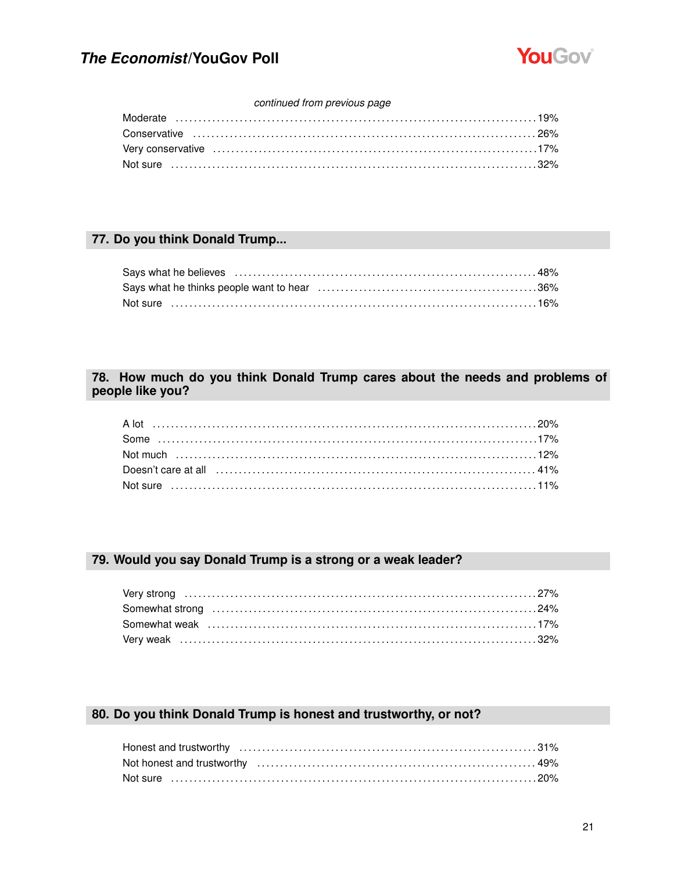

#### continued from previous page

### 77. Do you think Donald Trump...

### 78. How much do you think Donald Trump cares about the needs and problems of people like you?

### 79. Would you say Donald Trump is a strong or a weak leader?

### 80. Do you think Donald Trump is honest and trustworthy, or not?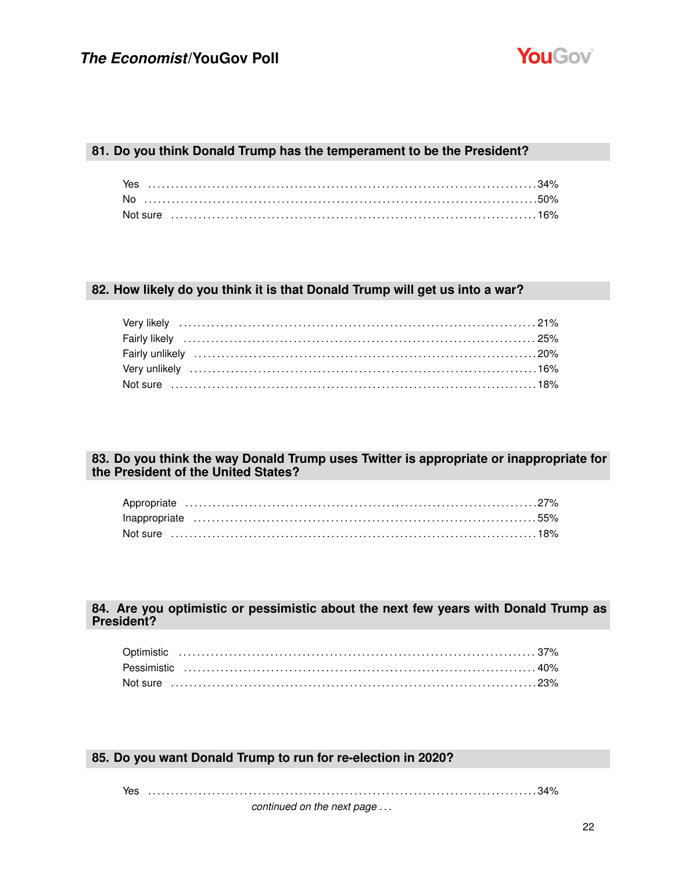

### **81. Do you think Donald Trump has the temperament to be the President?**

### **82. How likely do you think it is that Donald Trump will get us into a war?**

### **83. Do you think the way Donald Trump uses Twitter is appropriate or inappropriate for the President of the United States?**

### **84. Are you optimistic or pessimistic about the next few years with Donald Trump as President?**

### **85. Do you want Donald Trump to run for re-election in 2020?**

Yes . . . . . . . . . . . . . . . . . . . . . . . . . . . . . . . . . . . . . . . . . . . . . . . . . . . . . . . . . . . . . . . . . . . . . . . . . . . . . . . . . . . . . 34%

*continued on the next page . . .*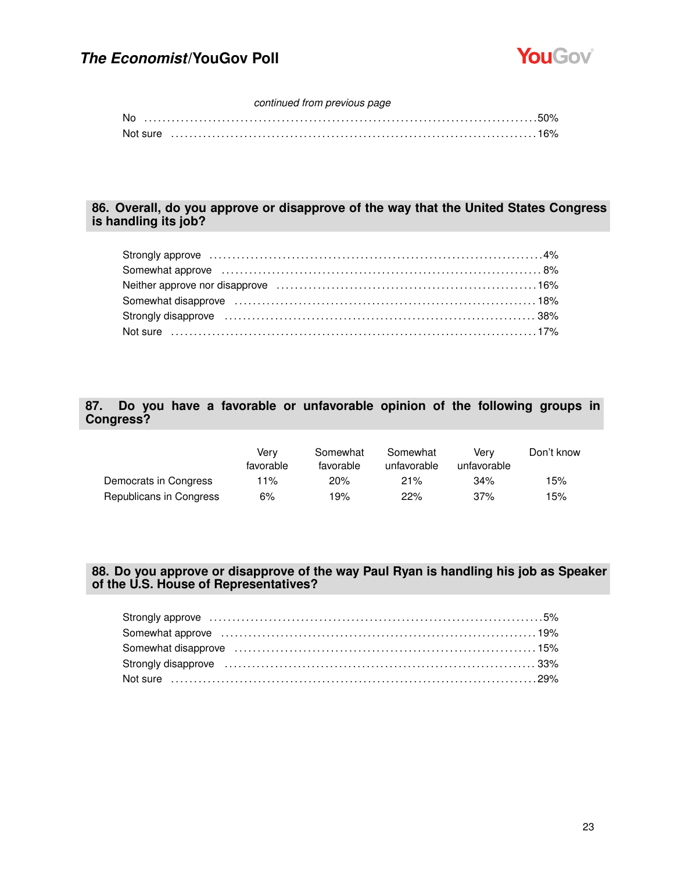

### *continued from previous page*

| No |          |  |  |  |  |  |  |  |  |  |  |  |  |  |  |  |  |  |  |  |  |
|----|----------|--|--|--|--|--|--|--|--|--|--|--|--|--|--|--|--|--|--|--|--|
|    | Not sure |  |  |  |  |  |  |  |  |  |  |  |  |  |  |  |  |  |  |  |  |

### **86. Overall, do you approve or disapprove of the way that the United States Congress is handling its job?**

### **87. Do you have a favorable or unfavorable opinion of the following groups in Congress?**

|                         | Verv<br>favorable | Somewhat<br>favorable | Somewhat<br>unfavorable | Verv<br>unfavorable | Don't know |
|-------------------------|-------------------|-----------------------|-------------------------|---------------------|------------|
| Democrats in Congress   | 11%               | 20%                   | 21%                     | 34%                 | 15%        |
| Republicans in Congress | 6%                | 19%                   | 22%                     | 37%                 | 15%        |

### **88. Do you approve or disapprove of the way Paul Ryan is handling his job as Speaker of the U.S. House of Representatives?**

| Somewhat approve encourance contains the control of the state of the state of the state of the state of the state of the state of the state of the state of the state of the state of the state of the state of the state of t |  |
|--------------------------------------------------------------------------------------------------------------------------------------------------------------------------------------------------------------------------------|--|
| Somewhat disapprove (and intermal continuous control of the state of the state of the state of the state of the state of the state of the state of the state of the state of the state of the state of the state of the state  |  |
|                                                                                                                                                                                                                                |  |
|                                                                                                                                                                                                                                |  |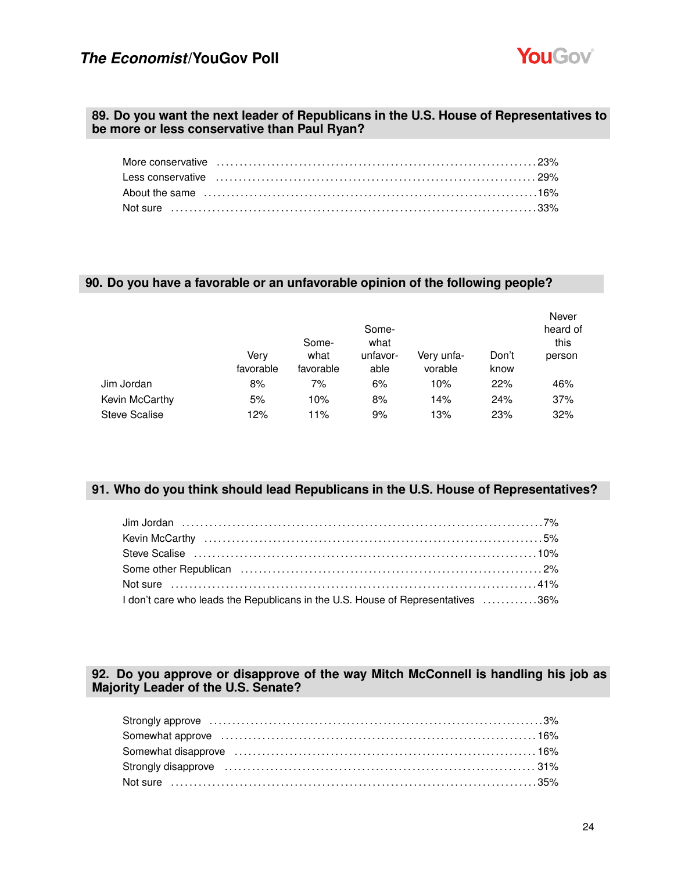

### **89. Do you want the next leader of Republicans in the U.S. House of Representatives to be more or less conservative than Paul Ryan?**

#### **90. Do you have a favorable or an unfavorable opinion of the following people?**

|                      |                   | Some-             | Some-<br>what    |                       |               | Never<br>heard of<br>this |
|----------------------|-------------------|-------------------|------------------|-----------------------|---------------|---------------------------|
|                      | Verv<br>favorable | what<br>favorable | unfavor-<br>able | Very unfa-<br>vorable | Don't<br>know | person                    |
| Jim Jordan           | 8%                | 7%                | 6%               | 10%                   | 22%           | 46%                       |
| Kevin McCarthy       | 5%                | 10%               | 8%               | 14%                   | 24%           | 37%                       |
| <b>Steve Scalise</b> | 12%               | 11%               | 9%               | 13%                   | 23%           | 32%                       |

### **91. Who do you think should lead Republicans in the U.S. House of Representatives?**

| 1 don't care who leads the Republicans in the U.S. House of Representatives 36% |  |
|---------------------------------------------------------------------------------|--|

### **92. Do you approve or disapprove of the way Mitch McConnell is handling his job as Majority Leader of the U.S. Senate?**

| Somewhat approve contain the control of the state of the state of the state of the state of the state of the state of the state of the state of the state of the state of the state of the state of the state of the state of |  |
|-------------------------------------------------------------------------------------------------------------------------------------------------------------------------------------------------------------------------------|--|
| Somewhat disapprove (and the continuum continuum control of the 16%)                                                                                                                                                          |  |
|                                                                                                                                                                                                                               |  |
|                                                                                                                                                                                                                               |  |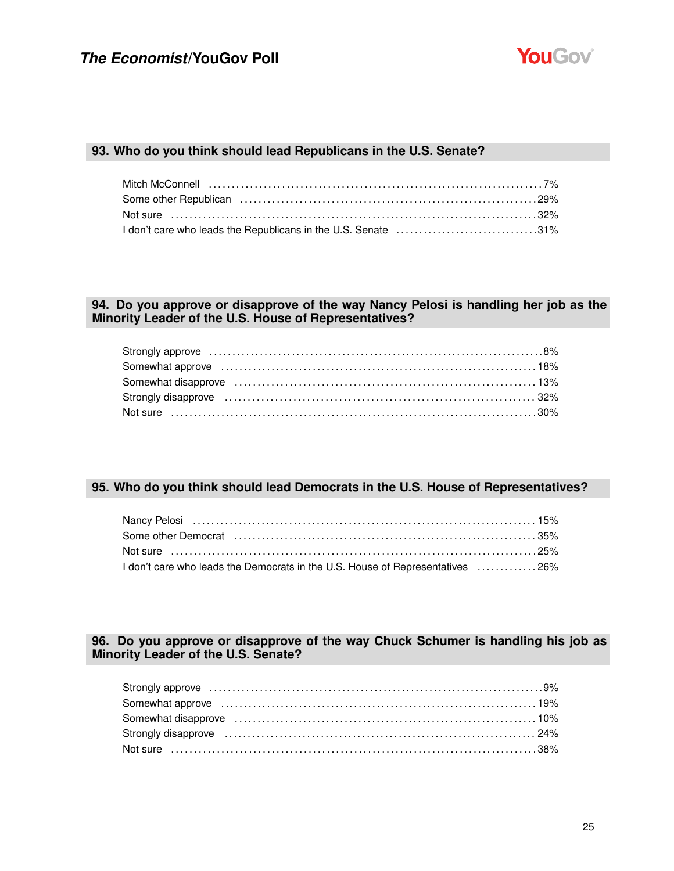

#### **93. Who do you think should lead Republicans in the U.S. Senate?**

| Some other Republican (and according to the control of the control of the control of the control of the control of the control of the control of the control of the control of the control of the control of the control of th |  |
|--------------------------------------------------------------------------------------------------------------------------------------------------------------------------------------------------------------------------------|--|
|                                                                                                                                                                                                                                |  |
| I don't care who leads the Republicans in the U.S. Senate 31%                                                                                                                                                                  |  |

### **94. Do you approve or disapprove of the way Nancy Pelosi is handling her job as the Minority Leader of the U.S. House of Representatives?**

### **95. Who do you think should lead Democrats in the U.S. House of Representatives?**

| Some other Democrat (and the continuum continuum control of the state of the state of the state of the state o |  |
|----------------------------------------------------------------------------------------------------------------|--|
| Not sure ……………………………………………………………………………………25%                                                                   |  |
| 1 don't care who leads the Democrats in the U.S. House of Representatives 26%                                  |  |

### **96. Do you approve or disapprove of the way Chuck Schumer is handling his job as Minority Leader of the U.S. Senate?**

| Somewhat approve (all accordinations) and the set of the set of the set of the set of the set of the set of the set of the set of the set of the set of the set of the set of the set of the set of the set of the set of the  |  |
|--------------------------------------------------------------------------------------------------------------------------------------------------------------------------------------------------------------------------------|--|
|                                                                                                                                                                                                                                |  |
| Strongly disapprove manufactured and the control of the control of the control of the control of the control of the control of the control of the control of the control of the control of the control of the control of the c |  |
|                                                                                                                                                                                                                                |  |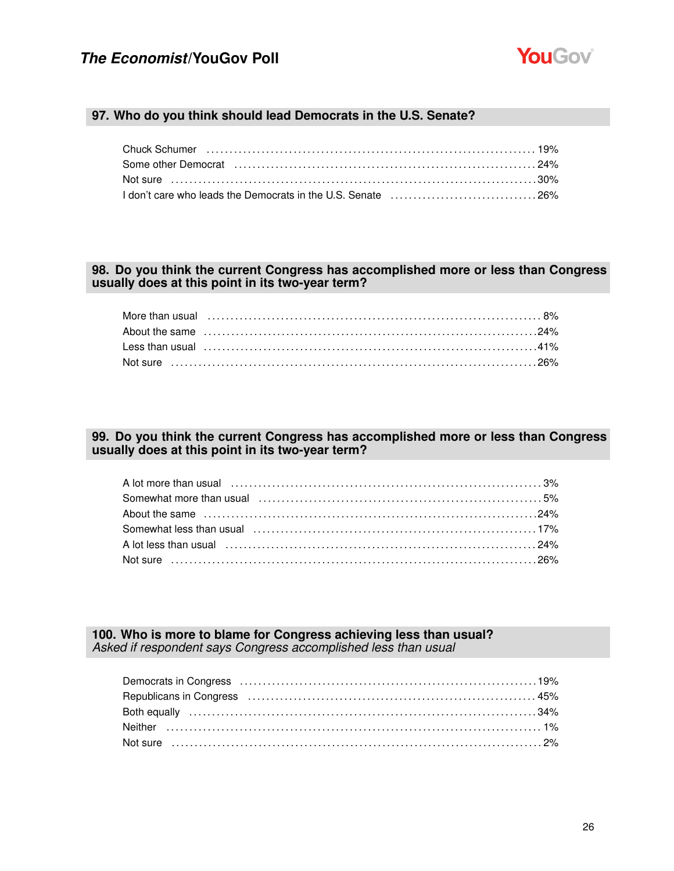

#### **97. Who do you think should lead Democrats in the U.S. Senate?**

| Chuck Schumer (and the content of the content of the content of the content of the content of the content of t |  |
|----------------------------------------------------------------------------------------------------------------|--|
|                                                                                                                |  |
| Not sure ………………………………………………………………………………………30%                                                                  |  |
|                                                                                                                |  |

### **98. Do you think the current Congress has accomplished more or less than Congress usually does at this point in its two-year term?**

### **99. Do you think the current Congress has accomplished more or less than Congress usually does at this point in its two-year term?**

| Not sure …………………………………………………………………………………………26% |  |
|------------------------------------------------|--|

**100. Who is more to blame for Congress achieving less than usual?** *Asked if respondent says Congress accomplished less than usual*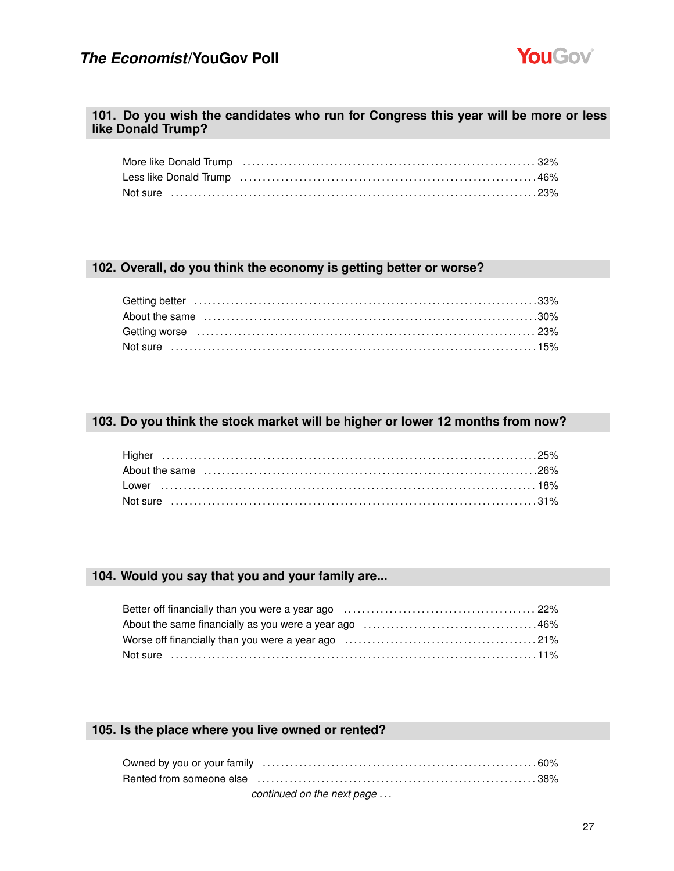

#### **101. Do you wish the candidates who run for Congress this year will be more or less like Donald Trump?**

| Less like Donald Trump (and according to the control of the Donald Trump of the Constanting of the Donald Trump |  |
|-----------------------------------------------------------------------------------------------------------------|--|
|                                                                                                                 |  |

### **102. Overall, do you think the economy is getting better or worse?**

| Not sure ……………………………………………………………………………………15% |  |
|----------------------------------------------|--|

### **103. Do you think the stock market will be higher or lower 12 months from now?**

### **104. Would you say that you and your family are...**

| Not sure ……………………………………………………………………………………11% |  |
|----------------------------------------------|--|

### **105. Is the place where you live owned or rented?**

| continued on the next page |  |
|----------------------------|--|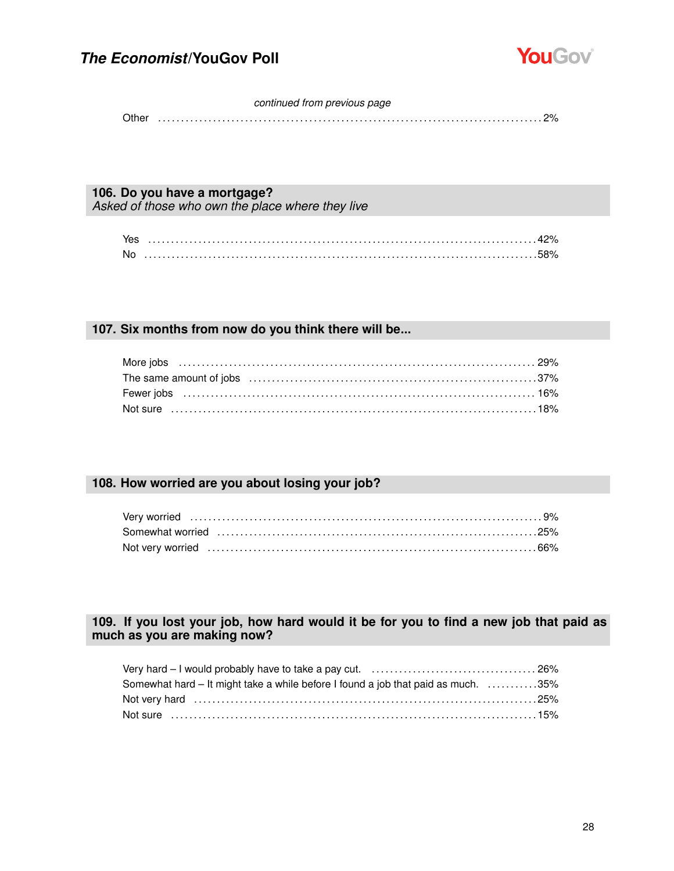

#### *continued from previous page*

Other . . . . . . . . . . . . . . . . . . . . . . . . . . . . . . . . . . . . . . . . . . . . . . . . . . . . . . . . . . . . . . . . . . . . . . . . . . . . . . . . . . . . 2%

#### **106. Do you have a mortgage?**

*Asked of those who own the place where they live*

| <b>No</b> |  |
|-----------|--|

### **107. Six months from now do you think there will be...**

| Not sure …………………………………………………………………………………18% |  |
|---------------------------------------------|--|

### **108. How worried are you about losing your job?**

### **109. If you lost your job, how hard would it be for you to find a new job that paid as much as you are making now?**

| Somewhat hard – It might take a while before I found a job that paid as much. 35% |  |
|-----------------------------------------------------------------------------------|--|
|                                                                                   |  |
| Not sure ……………………………………………………………………………………15%                                      |  |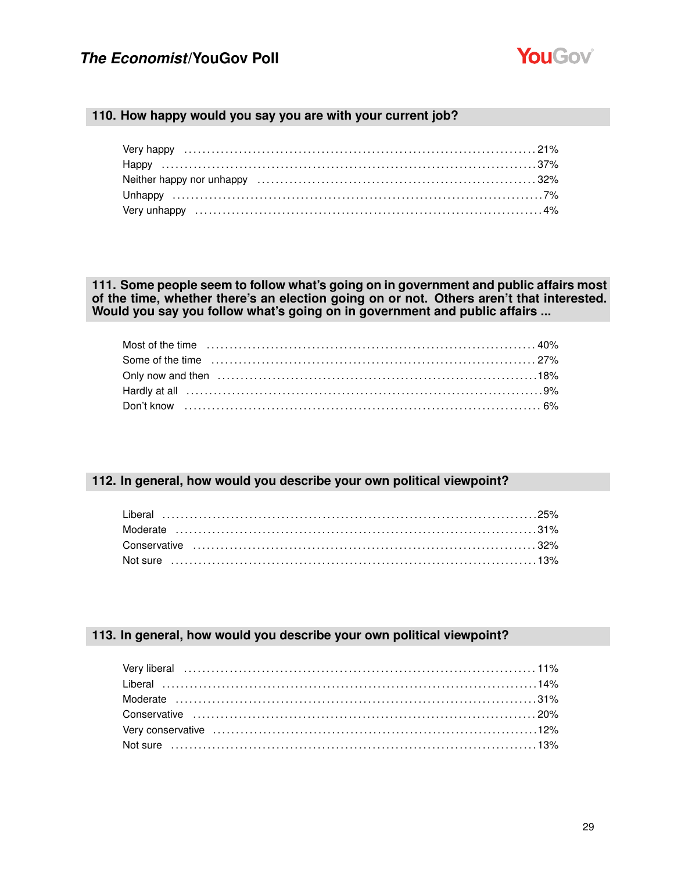

#### 110. How happy would you say you are with your current job?

### 111. Some people seem to follow what's going on in government and public affairs most of the time, whether there's an election going on or not. Others aren't that interested. Would you say you follow what's going on in government and public affairs ...

| 19% Hardly at all encourance entertainment and the Hardly at all entertainment and the Hardly at all |  |
|------------------------------------------------------------------------------------------------------|--|
|                                                                                                      |  |

### 112. In general, how would you describe your own political viewpoint?

#### 113. In general, how would you describe your own political viewpoint?

| Very liberal (11%) very liberal (11%) very liberal (11%) very liberal (11%) very liberal (11%) very liberal (11%) very liberal (11%) very liberal (11%) very liberal (11%) very liberal (11%) very liberal (11%) very liberal |  |
|-------------------------------------------------------------------------------------------------------------------------------------------------------------------------------------------------------------------------------|--|
|                                                                                                                                                                                                                               |  |
|                                                                                                                                                                                                                               |  |
|                                                                                                                                                                                                                               |  |
|                                                                                                                                                                                                                               |  |
|                                                                                                                                                                                                                               |  |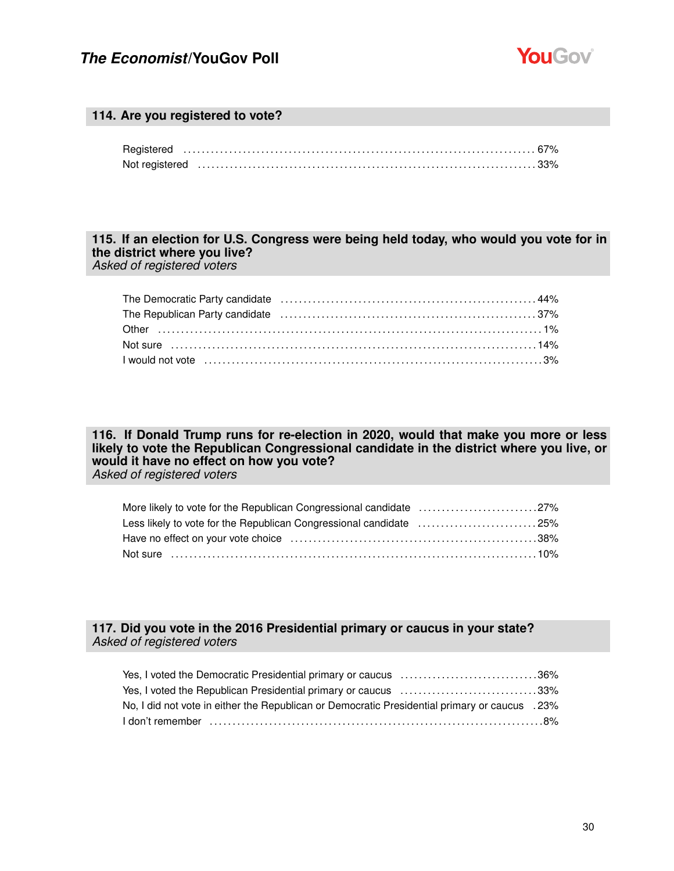

#### **114. Are you registered to vote?**

#### **115. If an election for U.S. Congress were being held today, who would you vote for in the district where you live?** *Asked of registered voters*

The Democratic Party candidate . . . . . . . . . . . . . . . . . . . . . . . . . . . . . . . . . . . . . . . . . . . . . . . . . . . . . . . . 44% The Republican Party candidate . . . . . . . . . . . . . . . . . . . . . . . . . . . . . . . . . . . . . . . . . . . . . . . . . . . . . . . . 37% Other . . . . . . . . . . . . . . . . . . . . . . . . . . . . . . . . . . . . . . . . . . . . . . . . . . . . . . . . . . . . . . . . . . . . . . . . . . . . . . . . . . . . 1% Not sure . . . . . . . . . . . . . . . . . . . . . . . . . . . . . . . . . . . . . . . . . . . . . . . . . . . . . . . . . . . . . . . . . . . . . . . . . . . . . . . . 14% I would not vote . . . . . . . . . . . . . . . . . . . . . . . . . . . . . . . . . . . . . . . . . . . . . . . . . . . . . . . . . . . . . . . . . . . . . . . . . . 3%

**116. If Donald Trump runs for re-election in 2020, would that make you more or less likely to vote the Republican Congressional candidate in the district where you live, or would it have no effect on how you vote?** *Asked of registered voters*

| More likely to vote for the Republican Congressional candidate 27% |  |
|--------------------------------------------------------------------|--|
| Less likely to vote for the Republican Congressional candidate 25% |  |
|                                                                    |  |
|                                                                    |  |

### **117. Did you vote in the 2016 Presidential primary or caucus in your state?** *Asked of registered voters*

| Yes, I voted the Democratic Presidential primary or caucus 36%                                 |  |
|------------------------------------------------------------------------------------------------|--|
| Yes, I voted the Republican Presidential primary or caucus 33%                                 |  |
| No, I did not vote in either the Republican or Democratic Presidential primary or caucus . 23% |  |
|                                                                                                |  |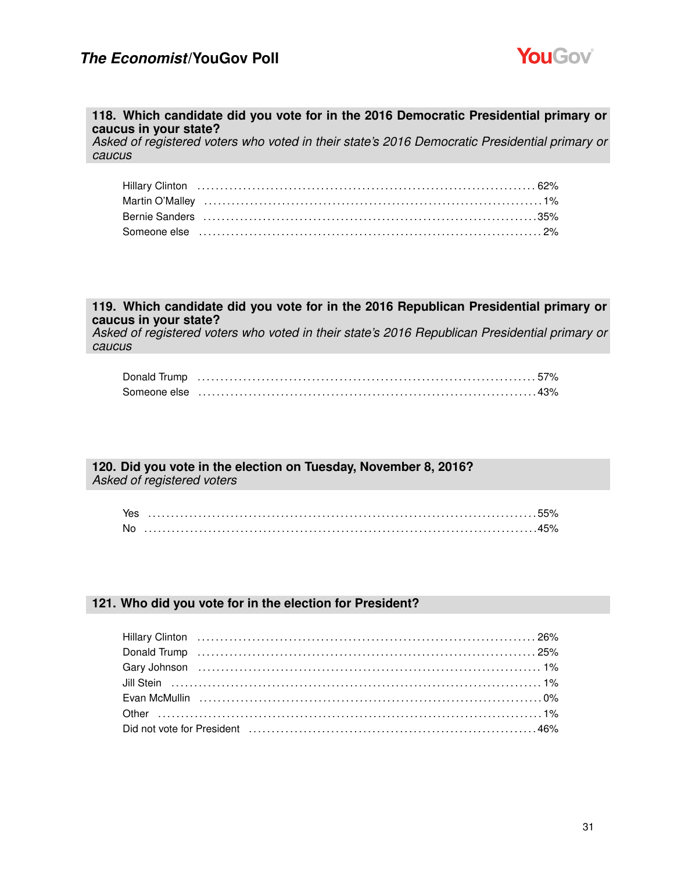

#### **118. Which candidate did you vote for in the 2016 Democratic Presidential primary or caucus in your state?**

*Asked of registered voters who voted in their state's 2016 Democratic Presidential primary or caucus*

| Bernie Sanders (and according to the control of the state of the state of the state of the state of the state o |
|-----------------------------------------------------------------------------------------------------------------|
|                                                                                                                 |

#### **119. Which candidate did you vote for in the 2016 Republican Presidential primary or caucus in your state?**

*Asked of registered voters who voted in their state's 2016 Republican Presidential primary or caucus*

| Donald Trump (a) the contract of the contract of the contract of the contract of the contract of the contract o |  |
|-----------------------------------------------------------------------------------------------------------------|--|
|                                                                                                                 |  |

### **120. Did you vote in the election on Tuesday, November 8, 2016?**

*Asked of registered voters*

| Yes |  |
|-----|--|
| No  |  |

### **121. Who did you vote for in the election for President?**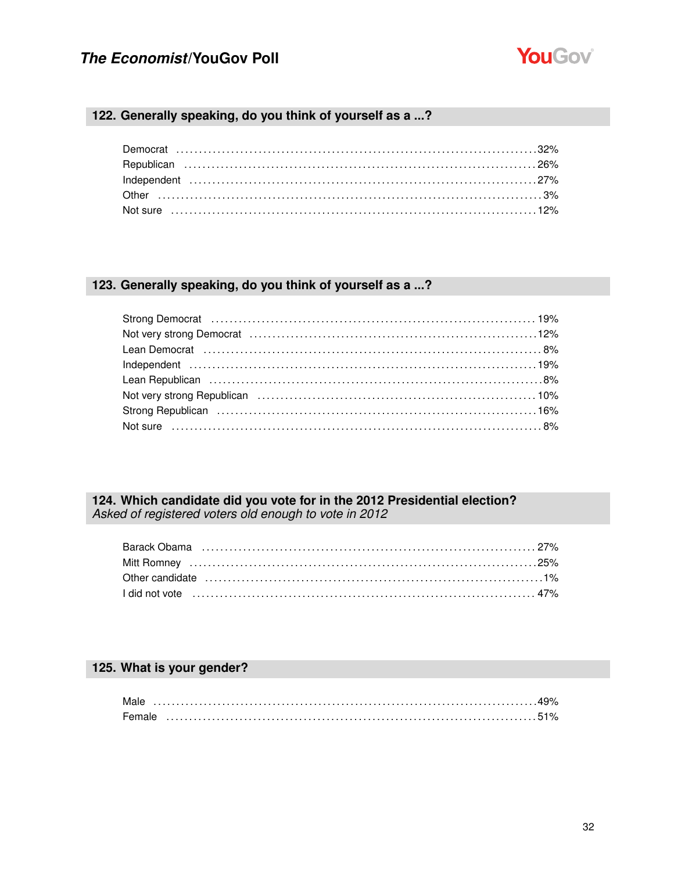

### 122. Generally speaking, do you think of yourself as a ...?

### 123. Generally speaking, do you think of yourself as a ...?

| Not very strong Republican (and the content of the content of the 10%) |  |
|------------------------------------------------------------------------|--|
|                                                                        |  |
|                                                                        |  |

# 124. Which candidate did you vote for in the 2012 Presidential election?<br>Asked of registered voters old enough to vote in 2012

| Other candidate (and intermal continuous control of the candidate of the candidate of the control of the control of the candidate of the candidate of the control of the control of the control of the control of the control |  |
|-------------------------------------------------------------------------------------------------------------------------------------------------------------------------------------------------------------------------------|--|
|                                                                                                                                                                                                                               |  |

### 125. What is your gender?

| Male   |  |  |  |  |  |  |  |  |  |  |  |  |  |  |  |  |  |  |  |  |  |  |  |  |  |  |  |  |  |
|--------|--|--|--|--|--|--|--|--|--|--|--|--|--|--|--|--|--|--|--|--|--|--|--|--|--|--|--|--|--|
| Female |  |  |  |  |  |  |  |  |  |  |  |  |  |  |  |  |  |  |  |  |  |  |  |  |  |  |  |  |  |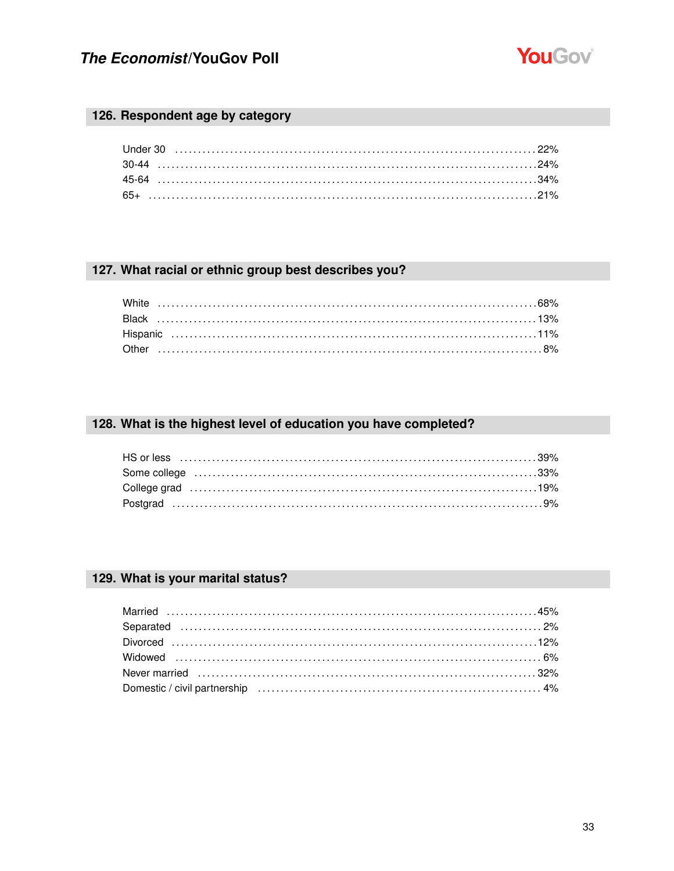

### 126. Respondent age by category

### 127. What racial or ethnic group best describes you?

### 128. What is the highest level of education you have completed?

| Some college (and according to the collection of the collection of the collection of the collection of the collection of the collection of the collection of the collection of the collection of the collection of the collect |  |
|--------------------------------------------------------------------------------------------------------------------------------------------------------------------------------------------------------------------------------|--|
|                                                                                                                                                                                                                                |  |
|                                                                                                                                                                                                                                |  |

### 129. What is your marital status?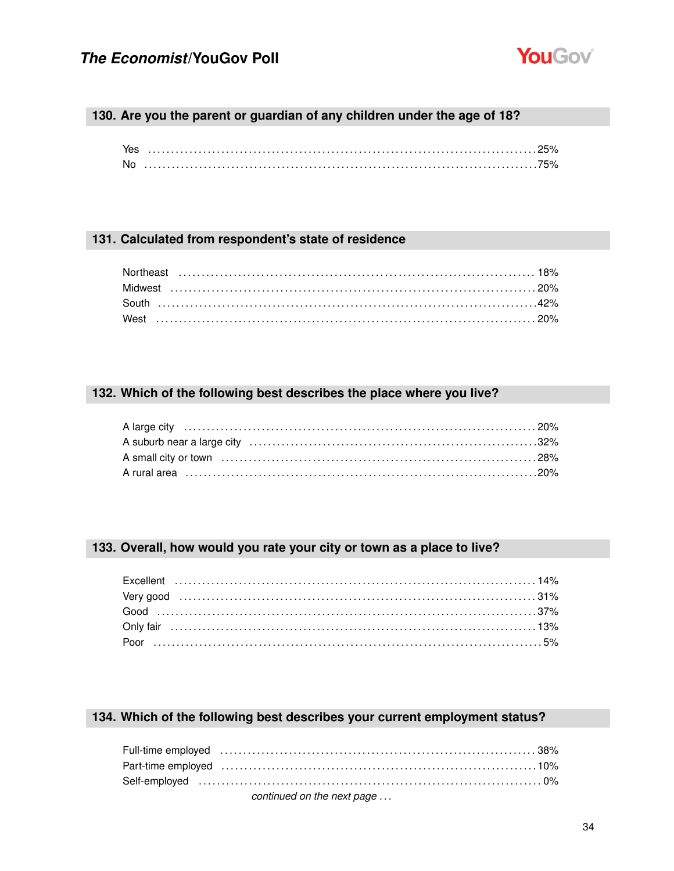

### 130. Are you the parent or guardian of any children under the age of 18?

| Yes       |  |
|-----------|--|
| <b>No</b> |  |

### 131. Calculated from respondent's state of residence

### 132. Which of the following best describes the place where you live?

### 133. Overall, how would you rate your city or town as a place to live?

### 134. Which of the following best describes your current employment status?

| Full-time employed (and according to the control of the control of the control of the control of the control of the control of the control of the control of the control of the control of the control of the control of the c |  |
|--------------------------------------------------------------------------------------------------------------------------------------------------------------------------------------------------------------------------------|--|
|                                                                                                                                                                                                                                |  |
|                                                                                                                                                                                                                                |  |
| continued on the next page                                                                                                                                                                                                     |  |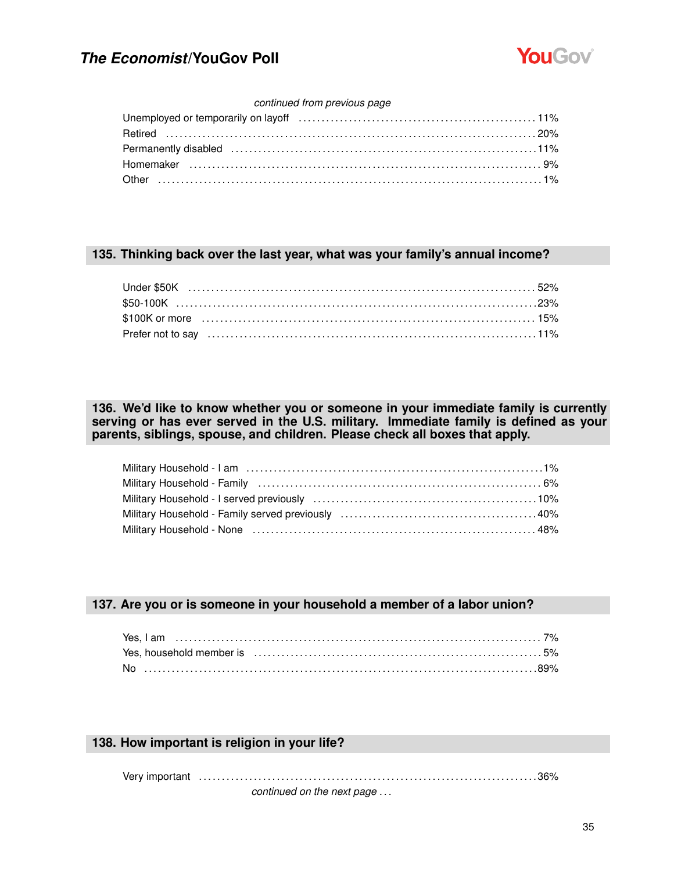

#### *continued from previous page*

| Unemployed or temporarily on layoff (exceptional content in the state of 11%)                                                                                                                                                  |  |
|--------------------------------------------------------------------------------------------------------------------------------------------------------------------------------------------------------------------------------|--|
|                                                                                                                                                                                                                                |  |
| Permanently disabled (and accommunication of the state of the state of the state of the state of the state of the state of the state of the state of the state of the state of the state of the state of the state of the stat |  |
|                                                                                                                                                                                                                                |  |
|                                                                                                                                                                                                                                |  |

#### **135. Thinking back over the last year, what was your family's annual income?**

### **136. We'd like to know whether you or someone in your immediate family is currently serving or has ever served in the U.S. military. Immediate family is defined as your parents, siblings, spouse, and children. Please check all boxes that apply.**

#### **137. Are you or is someone in your household a member of a labor union?**

| Yes, household member is encourance and the control of the system of the S% of the S% of the S% of the S% of the S% of the S% of the S% of the S% of the S% of the S% of the S% of the S% of the S% of the S% of the S% of the |  |
|--------------------------------------------------------------------------------------------------------------------------------------------------------------------------------------------------------------------------------|--|
|                                                                                                                                                                                                                                |  |

#### **138. How important is religion in your life?**

Very important . . . . . . . . . . . . . . . . . . . . . . . . . . . . . . . . . . . . . . . . . . . . . . . . . . . . . . . . . . . . . . . . . . . . . . . . . . 36%

*continued on the next page . . .*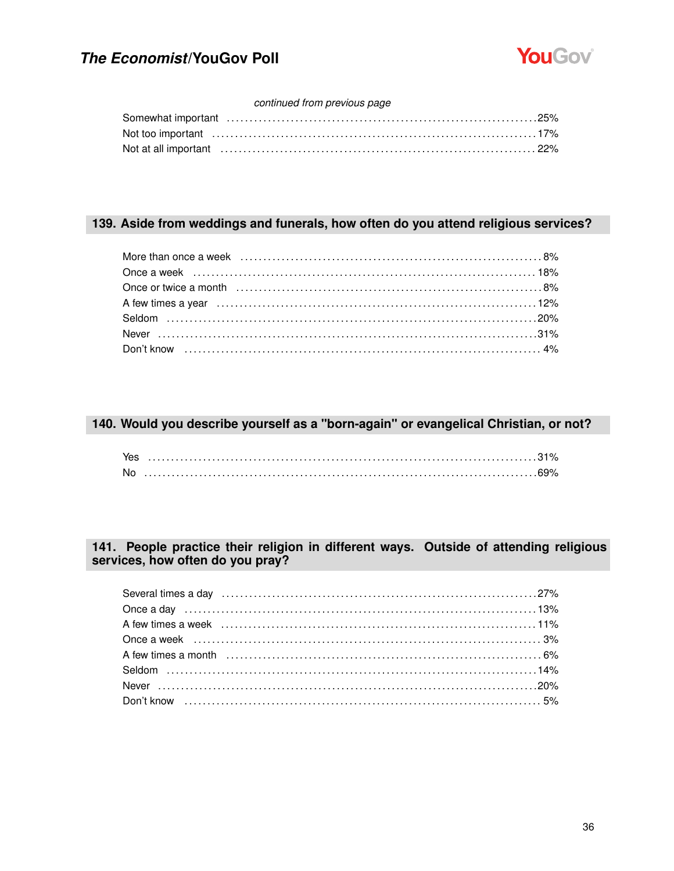

### continued from previous page

| Not at all important (all intervent in the control of the control of the control of the control of the control of the control of the control of the control of the control of the control of the control of the control of the |  |
|--------------------------------------------------------------------------------------------------------------------------------------------------------------------------------------------------------------------------------|--|

### 139. Aside from weddings and funerals, how often do you attend religious services?

### 140. Would you describe yourself as a "born-again" or evangelical Christian, or not?

| Yes       |  |
|-----------|--|
| <b>No</b> |  |

### 141. People practice their religion in different ways. Outside of attending religious services, how often do you pray?